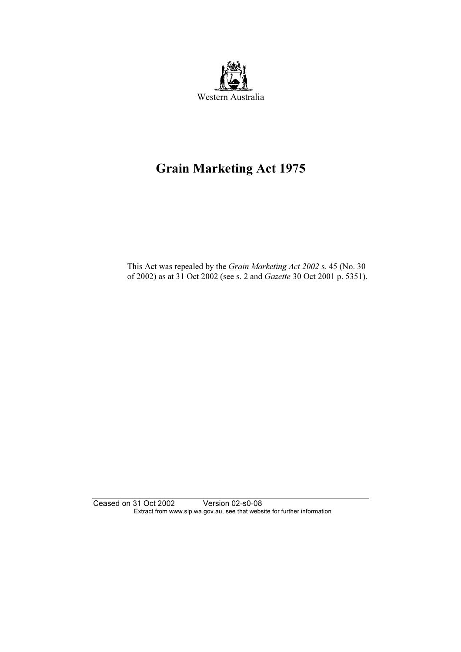

# Grain Marketing Act 1975

 This Act was repealed by the Grain Marketing Act 2002 s. 45 (No. 30 of 2002) as at 31 Oct 2002 (see s. 2 and Gazette 30 Oct 2001 p. 5351).

Ceased on 31 Oct 2002 Version 02-s0-08 Extract from www.slp.wa.gov.au, see that website for further information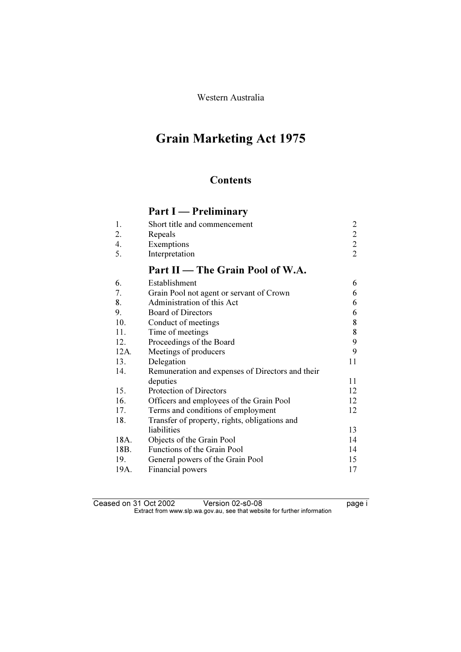Western Australia

# Grain Marketing Act 1975

## **Contents**

## Part I — Preliminary

|    | Short title and commencement     |               |
|----|----------------------------------|---------------|
| 2. | Repeals                          | $\mathcal{D}$ |
|    | Exemptions                       |               |
|    | Interpretation                   |               |
|    | Part II — The Grain Pool of W.A. |               |
|    | Establishment                    |               |

| 6.   | Establishment                                    | 6  |
|------|--------------------------------------------------|----|
| 7.   | Grain Pool not agent or servant of Crown         | 6  |
| 8.   | Administration of this Act                       | 6  |
| 9.   | <b>Board of Directors</b>                        | 6  |
| 10.  | Conduct of meetings                              | 8  |
| 11.  | Time of meetings                                 | 8  |
| 12.  | Proceedings of the Board                         | 9  |
| 12A. | Meetings of producers                            | 9  |
| 13.  | Delegation                                       | 11 |
| 14.  | Remuneration and expenses of Directors and their |    |
|      | deputies                                         | 11 |
| 15.  | Protection of Directors                          | 12 |
| 16.  | Officers and employees of the Grain Pool         | 12 |
| 17.  | Terms and conditions of employment               | 12 |
| 18.  | Transfer of property, rights, obligations and    |    |
|      | liabilities                                      | 13 |
| 18A. | Objects of the Grain Pool                        | 14 |
| 18B. | <b>Functions of the Grain Pool</b>               | 14 |
| 19.  | General powers of the Grain Pool                 | 15 |
| 19A. | Financial powers                                 | 17 |
|      |                                                  |    |

Ceased on 31 Oct 2002 Version 02-s0-08 page i Extract from www.slp.wa.gov.au, see that website for further information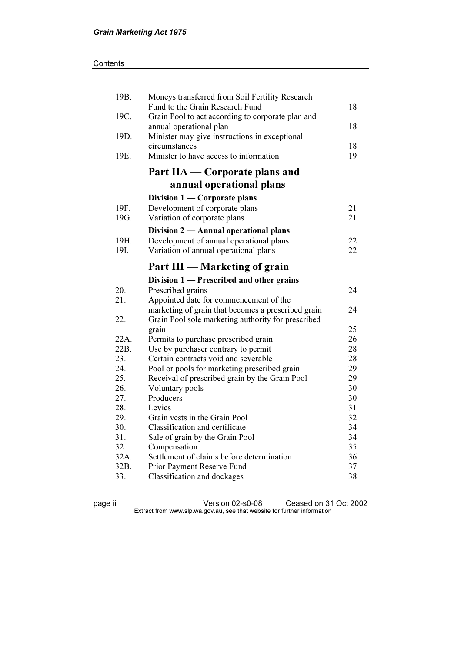| 19B. | Moneys transferred from Soil Fertility Research    |    |
|------|----------------------------------------------------|----|
|      | Fund to the Grain Research Fund                    | 18 |
| 19C. | Grain Pool to act according to corporate plan and  |    |
|      | annual operational plan                            | 18 |
| 19D. | Minister may give instructions in exceptional      |    |
|      | circumstances                                      | 18 |
| 19E. | Minister to have access to information             | 19 |
|      | Part IIA — Corporate plans and                     |    |
|      | annual operational plans                           |    |
|      | Division 1 — Corporate plans                       |    |
| 19F. | Development of corporate plans                     | 21 |
| 19G. | Variation of corporate plans                       | 21 |
|      | Division 2 — Annual operational plans              |    |
| 19H. | Development of annual operational plans            | 22 |
| 19I. | Variation of annual operational plans              | 22 |
|      |                                                    |    |
|      | Part III — Marketing of grain                      |    |
|      | Division 1 — Prescribed and other grains           |    |
| 20.  | Prescribed grains                                  | 24 |
| 21.  | Appointed date for commencement of the             |    |
|      | marketing of grain that becomes a prescribed grain | 24 |
| 22.  | Grain Pool sole marketing authority for prescribed |    |
|      | grain                                              | 25 |
| 22A. | Permits to purchase prescribed grain               | 26 |
| 22B. | Use by purchaser contrary to permit                | 28 |
| 23.  | Certain contracts void and severable               | 28 |
| 24.  | Pool or pools for marketing prescribed grain       | 29 |
| 25.  | Receival of prescribed grain by the Grain Pool     | 29 |
| 26.  | Voluntary pools                                    | 30 |
| 27.  | Producers                                          | 30 |
| 28.  | Levies                                             | 31 |
| 29.  | Grain vests in the Grain Pool                      | 32 |
| 30.  | Classification and certificate                     | 34 |
| 31.  | Sale of grain by the Grain Pool                    | 34 |
| 32.  | Compensation                                       | 35 |
| 32A. | Settlement of claims before determination          | 36 |
| 32B. | Prior Payment Reserve Fund                         | 37 |
| 33.  | Classification and dockages                        | 38 |

page ii Version 02-s0-08 Ceased on 31 Oct 2002  $\mathbf{F}$  from which was the set that we besite for further information  $\mathbf{F}$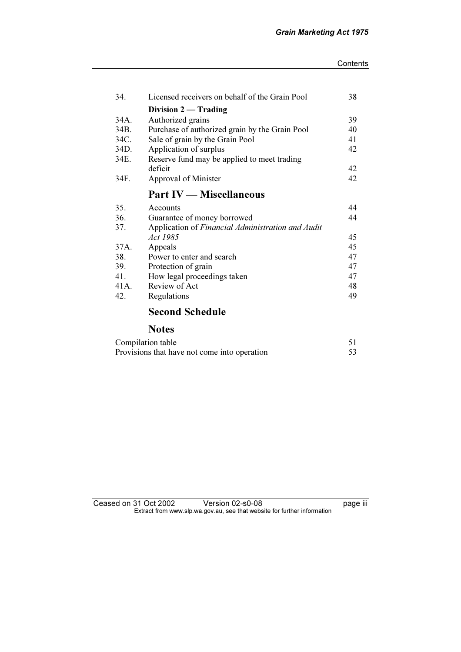#### **Contents**

| 34.  | Licensed receivers on behalf of the Grain Pool    | 38 |
|------|---------------------------------------------------|----|
|      | Division $2 -$ Trading                            |    |
| 34A. | Authorized grains                                 | 39 |
| 34B. | Purchase of authorized grain by the Grain Pool    | 40 |
| 34C. | Sale of grain by the Grain Pool                   | 41 |
| 34D. | Application of surplus                            | 42 |
| 34E. | Reserve fund may be applied to meet trading       |    |
|      | deficit                                           | 42 |
| 34F. | Approval of Minister                              | 42 |
|      | <b>Part IV — Miscellaneous</b>                    |    |
| 35.  | Accounts                                          | 44 |
| 36.  | Guarantee of money borrowed                       | 44 |
| 37.  | Application of Financial Administration and Audit |    |
|      | <i>Act</i> 1985                                   | 45 |
| 37A. | Appeals                                           | 45 |
| 38.  | Power to enter and search                         | 47 |
| 39.  | Protection of grain                               | 47 |
| 41.  | How legal proceedings taken                       | 47 |
| 41A. | Review of Act                                     | 48 |
|      |                                                   |    |
| 42.  | Regulations                                       | 49 |

## Second Schedule

## Notes

| Compilation table                            |  |
|----------------------------------------------|--|
| Provisions that have not come into operation |  |

## Ceased on 31 Oct 2002 Version 02-s0-08 page iii  $\mathbf{F}$  from which was the set that we besite for further information  $\mathbf{F}$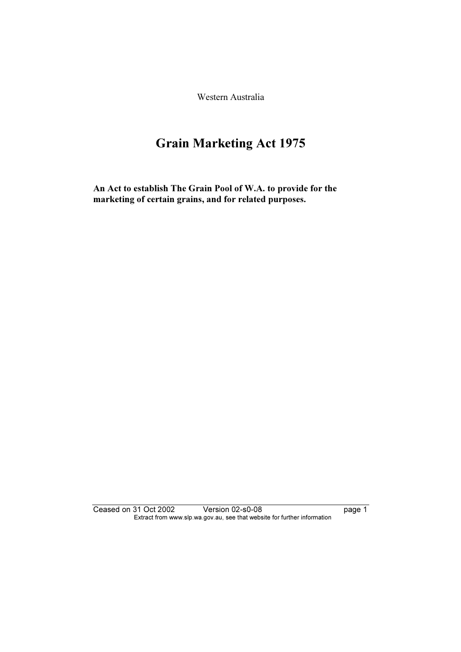Western Australia

# Grain Marketing Act 1975

An Act to establish The Grain Pool of W.A. to provide for the marketing of certain grains, and for related purposes.

Ceased on 31 Oct 2002 Version 02-s0-08 page 1 Extract from www.slp.wa.gov.au, see that website for further information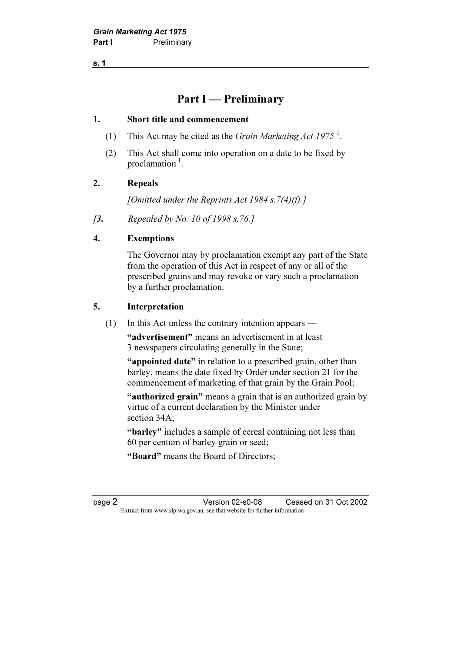s. 1

## Part I — Preliminary

#### 1. Short title and commencement

- (1) This Act may be cited as the *Grain Marketing Act 1975*<sup>1</sup>.
	- (2) This Act shall come into operation on a date to be fixed by proclamation $<sup>1</sup>$ .</sup>

## 2. Repeals

[Omitted under the Reprints Act 1984 s.  $7(4)(f)$ .]

[3. Repealed by No. 10 of 1998 s.76.]

## 4. Exemptions

 The Governor may by proclamation exempt any part of the State from the operation of this Act in respect of any or all of the prescribed grains and may revoke or vary such a proclamation by a further proclamation.

## 5. Interpretation

(1) In this Act unless the contrary intention appears —

 "advertisement" means an advertisement in at least 3 newspapers circulating generally in the State;

"appointed date" in relation to a prescribed grain, other than barley, means the date fixed by Order under section 21 for the commencement of marketing of that grain by the Grain Pool;

"authorized grain" means a grain that is an authorized grain by virtue of a current declaration by the Minister under section 34A;

 "barley" includes a sample of cereal containing not less than 60 per centum of barley grain or seed;

"Board" means the Board of Directors;

page 2 Version 02-s0-08 Ceased on 31 Oct 2002 Extract from www.slp.wa.gov.au, see that website for further information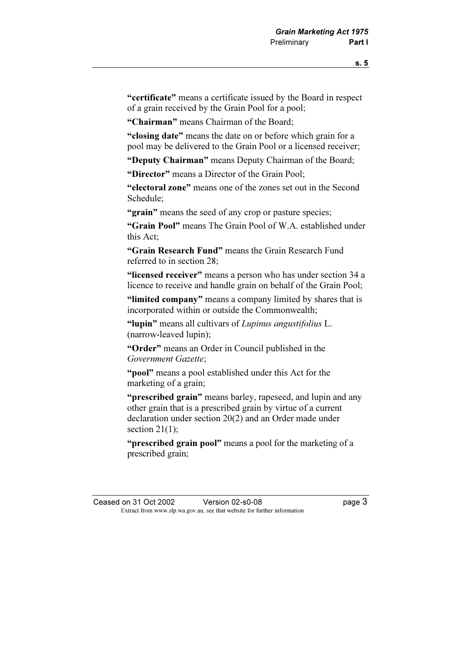"certificate" means a certificate issued by the Board in respect of a grain received by the Grain Pool for a pool;

"Chairman" means Chairman of the Board;

 "closing date" means the date on or before which grain for a pool may be delivered to the Grain Pool or a licensed receiver;

"Deputy Chairman" means Deputy Chairman of the Board;

"Director" means a Director of the Grain Pool;

 "electoral zone" means one of the zones set out in the Second Schedule;

"grain" means the seed of any crop or pasture species;

 "Grain Pool" means The Grain Pool of W.A. established under this Act;

 "Grain Research Fund" means the Grain Research Fund referred to in section 28;

"licensed receiver" means a person who has under section 34 a licence to receive and handle grain on behalf of the Grain Pool;

"limited company" means a company limited by shares that is incorporated within or outside the Commonwealth;

"lupin" means all cultivars of Lupinus angustifolius L. (narrow-leaved lupin);

 "Order" means an Order in Council published in the Government Gazette;

 "pool" means a pool established under this Act for the marketing of a grain;

 "prescribed grain" means barley, rapeseed, and lupin and any other grain that is a prescribed grain by virtue of a current declaration under section 20(2) and an Order made under section 21(1):

"**prescribed grain pool**" means a pool for the marketing of a prescribed grain;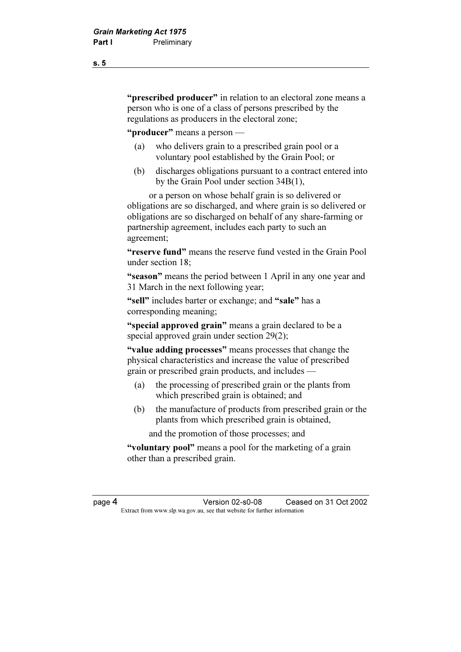"**prescribed producer**" in relation to an electoral zone means a person who is one of a class of persons prescribed by the regulations as producers in the electoral zone;

"**producer**" means a person —

- (a) who delivers grain to a prescribed grain pool or a voluntary pool established by the Grain Pool; or
- (b) discharges obligations pursuant to a contract entered into by the Grain Pool under section 34B(1),

 or a person on whose behalf grain is so delivered or obligations are so discharged, and where grain is so delivered or obligations are so discharged on behalf of any share-farming or partnership agreement, includes each party to such an agreement;

"reserve fund" means the reserve fund vested in the Grain Pool under section 18;

 "season" means the period between 1 April in any one year and 31 March in the next following year;

"sell" includes barter or exchange; and "sale" has a corresponding meaning;

"special approved grain" means a grain declared to be a special approved grain under section 29(2);

"value adding processes" means processes that change the physical characteristics and increase the value of prescribed grain or prescribed grain products, and includes —

- (a) the processing of prescribed grain or the plants from which prescribed grain is obtained; and
- (b) the manufacture of products from prescribed grain or the plants from which prescribed grain is obtained,

and the promotion of those processes; and

"voluntary pool" means a pool for the marketing of a grain other than a prescribed grain.

page 4 Version 02-s0-08 Ceased on 31 Oct 2002 Extract from www.slp.wa.gov.au, see that website for further information

s. 5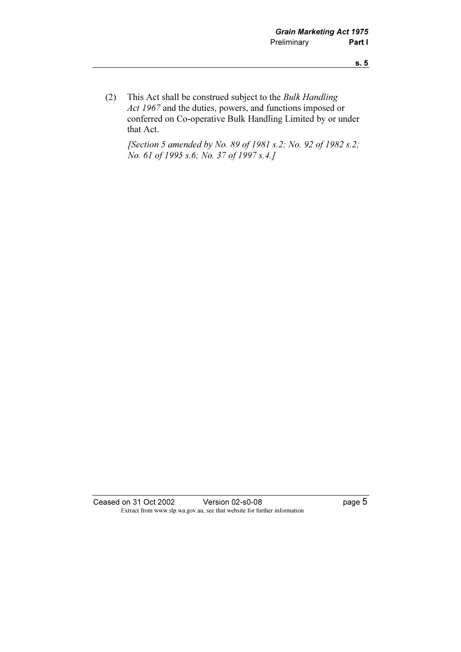(2) This Act shall be construed subject to the Bulk Handling Act 1967 and the duties, powers, and functions imposed or conferred on Co-operative Bulk Handling Limited by or under that Act.

[Section 5 amended by No. 89 of 1981 s.2; No. 92 of 1982 s.2; No. 61 of 1995 s.6; No. 37 of 1997 s.4.]

Ceased on 31 Oct 2002 Version 02-s0-08 Page 5 Extract from www.slp.wa.gov.au, see that website for further information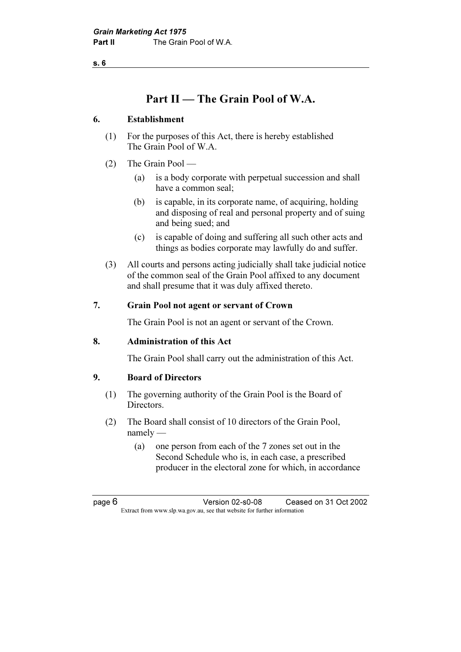s. 6

## Part II — The Grain Pool of W.A.

## 6. Establishment

- (1) For the purposes of this Act, there is hereby established The Grain Pool of W.A.
- (2) The Grain Pool
	- (a) is a body corporate with perpetual succession and shall have a common seal;
	- (b) is capable, in its corporate name, of acquiring, holding and disposing of real and personal property and of suing and being sued; and
	- (c) is capable of doing and suffering all such other acts and things as bodies corporate may lawfully do and suffer.
- (3) All courts and persons acting judicially shall take judicial notice of the common seal of the Grain Pool affixed to any document and shall presume that it was duly affixed thereto.

## 7. Grain Pool not agent or servant of Crown

The Grain Pool is not an agent or servant of the Crown.

#### 8. Administration of this Act

The Grain Pool shall carry out the administration of this Act.

## 9. Board of Directors

- (1) The governing authority of the Grain Pool is the Board of Directors.
- (2) The Board shall consist of 10 directors of the Grain Pool, namely —
	- (a) one person from each of the 7 zones set out in the Second Schedule who is, in each case, a prescribed producer in the electoral zone for which, in accordance

page 6 Version 02-s0-08 Ceased on 31 Oct 2002 Extract from www.slp.wa.gov.au, see that website for further information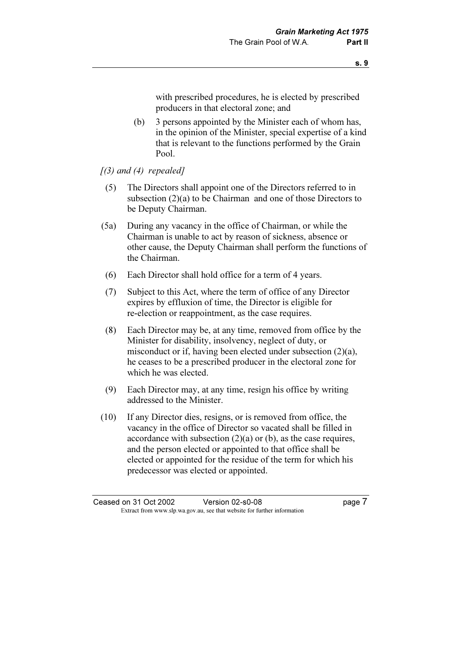with prescribed procedures, he is elected by prescribed producers in that electoral zone; and

- (b) 3 persons appointed by the Minister each of whom has, in the opinion of the Minister, special expertise of a kind that is relevant to the functions performed by the Grain Pool.
- $(3)$  and  $(4)$  repealed]
- (5) The Directors shall appoint one of the Directors referred to in subsection (2)(a) to be Chairman and one of those Directors to be Deputy Chairman.
- (5a) During any vacancy in the office of Chairman, or while the Chairman is unable to act by reason of sickness, absence or other cause, the Deputy Chairman shall perform the functions of the Chairman.
- (6) Each Director shall hold office for a term of 4 years.
- (7) Subject to this Act, where the term of office of any Director expires by effluxion of time, the Director is eligible for re-election or reappointment, as the case requires.
- (8) Each Director may be, at any time, removed from office by the Minister for disability, insolvency, neglect of duty, or misconduct or if, having been elected under subsection (2)(a), he ceases to be a prescribed producer in the electoral zone for which he was elected.
- (9) Each Director may, at any time, resign his office by writing addressed to the Minister.
- (10) If any Director dies, resigns, or is removed from office, the vacancy in the office of Director so vacated shall be filled in accordance with subsection (2)(a) or (b), as the case requires, and the person elected or appointed to that office shall be elected or appointed for the residue of the term for which his predecessor was elected or appointed.

Ceased on 31 Oct 2002 Version 02-s0-08 page 7 Extract from www.slp.wa.gov.au, see that website for further information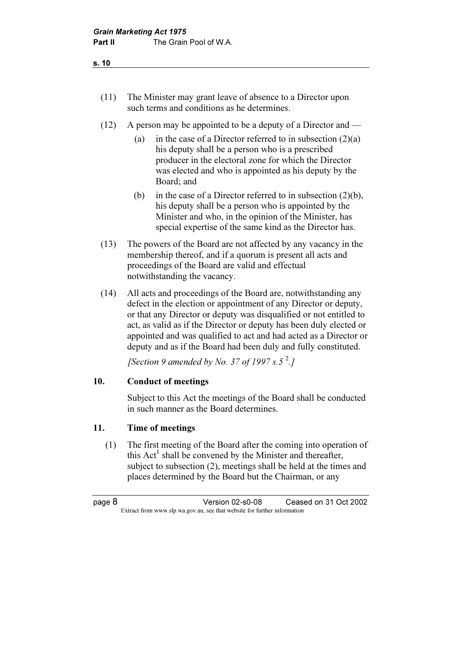- (11) The Minister may grant leave of absence to a Director upon such terms and conditions as he determines.
- (12) A person may be appointed to be a deputy of a Director and
	- (a) in the case of a Director referred to in subsection  $(2)(a)$ his deputy shall be a person who is a prescribed producer in the electoral zone for which the Director was elected and who is appointed as his deputy by the Board; and
	- (b) in the case of a Director referred to in subsection  $(2)(b)$ , his deputy shall be a person who is appointed by the Minister and who, in the opinion of the Minister, has special expertise of the same kind as the Director has.
- (13) The powers of the Board are not affected by any vacancy in the membership thereof, and if a quorum is present all acts and proceedings of the Board are valid and effectual notwithstanding the vacancy.
- (14) All acts and proceedings of the Board are, notwithstanding any defect in the election or appointment of any Director or deputy, or that any Director or deputy was disqualified or not entitled to act, as valid as if the Director or deputy has been duly elected or appointed and was qualified to act and had acted as a Director or deputy and as if the Board had been duly and fully constituted.

[Section 9 amended by No. 37 of 1997 s.5 $^2$ .]

## 10. Conduct of meetings

 Subject to this Act the meetings of the Board shall be conducted in such manner as the Board determines.

## 11. Time of meetings

 (1) The first meeting of the Board after the coming into operation of this  $Act<sup>T</sup>$  shall be convened by the Minister and thereafter, subject to subsection (2), meetings shall be held at the times and places determined by the Board but the Chairman, or any

page 8 Version 02-s0-08 Ceased on 31 Oct 2002 Extract from www.slp.wa.gov.au, see that website for further information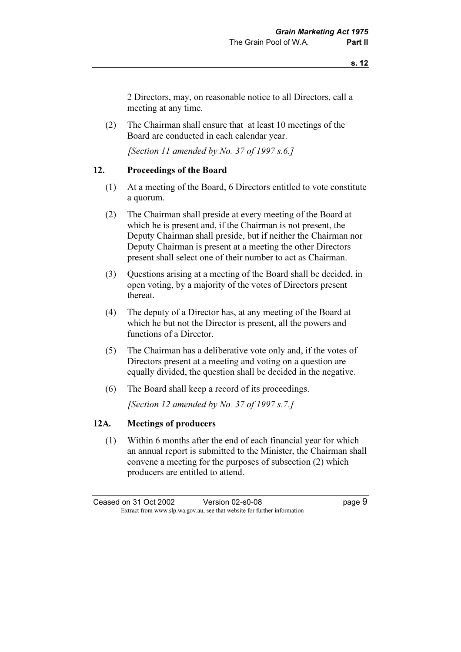2 Directors, may, on reasonable notice to all Directors, call a meeting at any time.

 (2) The Chairman shall ensure that at least 10 meetings of the Board are conducted in each calendar year.

[Section 11 amended by No. 37 of 1997  $s.6.1$ ]

#### 12. Proceedings of the Board

- (1) At a meeting of the Board, 6 Directors entitled to vote constitute a quorum.
- (2) The Chairman shall preside at every meeting of the Board at which he is present and, if the Chairman is not present, the Deputy Chairman shall preside, but if neither the Chairman nor Deputy Chairman is present at a meeting the other Directors present shall select one of their number to act as Chairman.
- (3) Questions arising at a meeting of the Board shall be decided, in open voting, by a majority of the votes of Directors present thereat.
- (4) The deputy of a Director has, at any meeting of the Board at which he but not the Director is present, all the powers and functions of a Director.
- (5) The Chairman has a deliberative vote only and, if the votes of Directors present at a meeting and voting on a question are equally divided, the question shall be decided in the negative.
- (6) The Board shall keep a record of its proceedings.

[Section 12 amended by No. 37 of 1997 s.7.]

#### 12A. Meetings of producers

 (1) Within 6 months after the end of each financial year for which an annual report is submitted to the Minister, the Chairman shall convene a meeting for the purposes of subsection (2) which producers are entitled to attend.

Ceased on 31 Oct 2002 Version 02-s0-08 page 9 Extract from www.slp.wa.gov.au, see that website for further information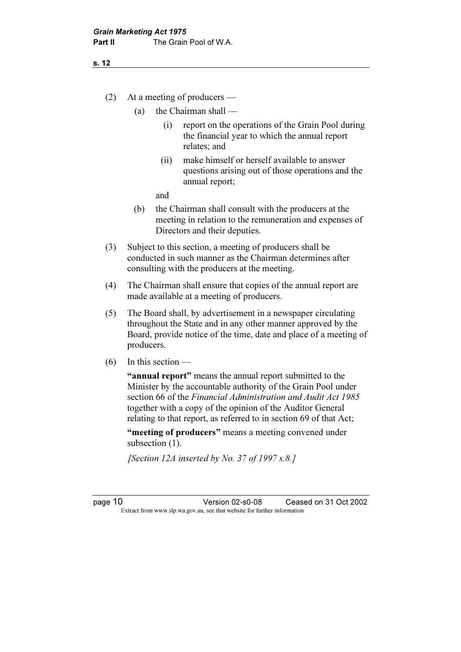- (a) the Chairman shall
	- (i) report on the operations of the Grain Pool during the financial year to which the annual report relates; and
	- (ii) make himself or herself available to answer questions arising out of those operations and the annual report;

and

- (b) the Chairman shall consult with the producers at the meeting in relation to the remuneration and expenses of Directors and their deputies.
- (3) Subject to this section, a meeting of producers shall be conducted in such manner as the Chairman determines after consulting with the producers at the meeting.
- (4) The Chairman shall ensure that copies of the annual report are made available at a meeting of producers.
- (5) The Board shall, by advertisement in a newspaper circulating throughout the State and in any other manner approved by the Board, provide notice of the time, date and place of a meeting of producers.
- $(6)$  In this section —

"annual report" means the annual report submitted to the Minister by the accountable authority of the Grain Pool under section 66 of the Financial Administration and Audit Act 1985 together with a copy of the opinion of the Auditor General relating to that report, as referred to in section 69 of that Act;

"meeting of producers" means a meeting convened under subsection  $(1)$ .

[Section 12A inserted by No. 37 of 1997 s.8.]

page 10 Version 02-s0-08 Ceased on 31 Oct 2002 Extract from www.slp.wa.gov.au, see that website for further information

s. 12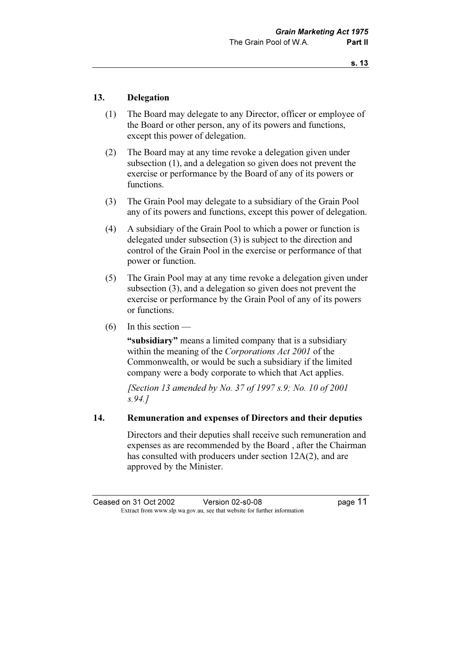#### 13. Delegation

- (1) The Board may delegate to any Director, officer or employee of the Board or other person, any of its powers and functions, except this power of delegation.
- (2) The Board may at any time revoke a delegation given under subsection (1), and a delegation so given does not prevent the exercise or performance by the Board of any of its powers or functions.
- (3) The Grain Pool may delegate to a subsidiary of the Grain Pool any of its powers and functions, except this power of delegation.
- (4) A subsidiary of the Grain Pool to which a power or function is delegated under subsection (3) is subject to the direction and control of the Grain Pool in the exercise or performance of that power or function.
- (5) The Grain Pool may at any time revoke a delegation given under subsection (3), and a delegation so given does not prevent the exercise or performance by the Grain Pool of any of its powers or functions.
- (6) In this section —

"subsidiary" means a limited company that is a subsidiary within the meaning of the Corporations Act 2001 of the Commonwealth, or would be such a subsidiary if the limited company were a body corporate to which that Act applies.

[Section 13 amended by No. 37 of 1997 s.9; No. 10 of 2001] s.94.]

#### 14. Remuneration and expenses of Directors and their deputies

 Directors and their deputies shall receive such remuneration and expenses as are recommended by the Board , after the Chairman has consulted with producers under section 12A(2), and are approved by the Minister.

Ceased on 31 Oct 2002 Version 02-s0-08 page 11 Extract from www.slp.wa.gov.au, see that website for further information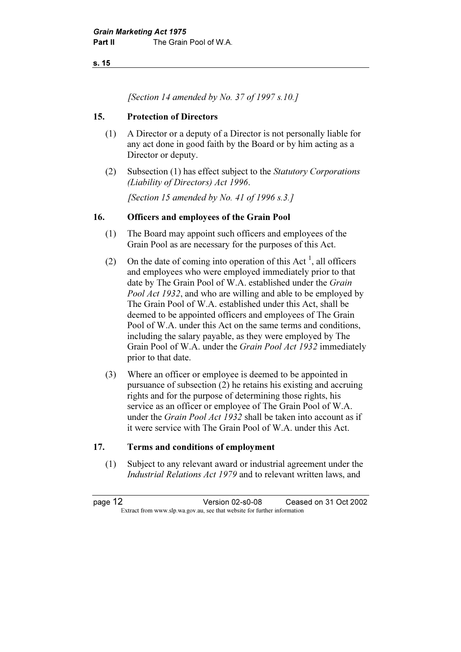s. 15

[Section 14 amended by No. 37 of 1997 s.10.]

#### 15. Protection of Directors

- (1) A Director or a deputy of a Director is not personally liable for any act done in good faith by the Board or by him acting as a Director or deputy.
- (2) Subsection (1) has effect subject to the Statutory Corporations (Liability of Directors) Act 1996.

[Section 15 amended by No. 41 of 1996 s.3.]

#### 16. Officers and employees of the Grain Pool

- (1) The Board may appoint such officers and employees of the Grain Pool as are necessary for the purposes of this Act.
- (2) On the date of coming into operation of this Act<sup> $\perp$ </sup>, all officers and employees who were employed immediately prior to that date by The Grain Pool of W.A. established under the Grain Pool Act 1932, and who are willing and able to be employed by The Grain Pool of W.A. established under this Act, shall be deemed to be appointed officers and employees of The Grain Pool of W.A. under this Act on the same terms and conditions, including the salary payable, as they were employed by The Grain Pool of W.A. under the Grain Pool Act 1932 immediately prior to that date.
	- (3) Where an officer or employee is deemed to be appointed in pursuance of subsection (2) he retains his existing and accruing rights and for the purpose of determining those rights, his service as an officer or employee of The Grain Pool of W.A. under the *Grain Pool Act 1932* shall be taken into account as if it were service with The Grain Pool of W.A. under this Act.

#### 17. Terms and conditions of employment

 (1) Subject to any relevant award or industrial agreement under the Industrial Relations Act 1979 and to relevant written laws, and

page 12 Version 02-s0-08 Ceased on 31 Oct 2002 Extract from www.slp.wa.gov.au, see that website for further information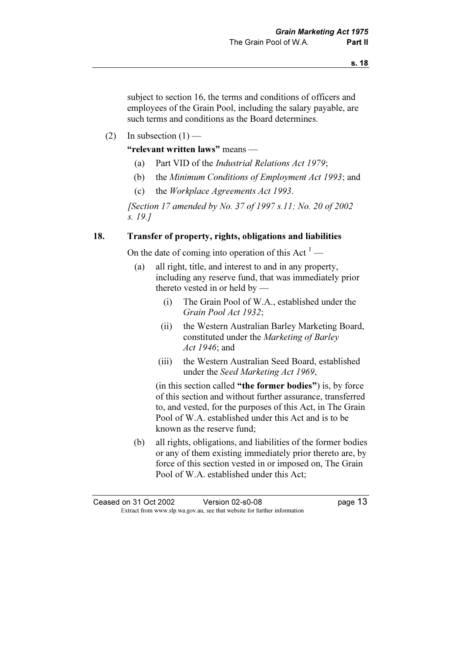subject to section 16, the terms and conditions of officers and employees of the Grain Pool, including the salary payable, are such terms and conditions as the Board determines.

(2) In subsection  $(1)$  —

"relevant written laws" means —

- (a) Part VID of the Industrial Relations Act 1979;
- (b) the Minimum Conditions of Employment Act 1993; and
- (c) the Workplace Agreements Act 1993.

 [Section 17 amended by No. 37 of 1997 s.11; No. 20 of 2002 s. 19.]

## 18. Transfer of property, rights, obligations and liabilities

On the date of coming into operation of this Act  $<sup>1</sup>$  —</sup>

- (a) all right, title, and interest to and in any property, including any reserve fund, that was immediately prior thereto vested in or held by —
	- (i) The Grain Pool of W.A., established under the Grain Pool Act 1932;
	- (ii) the Western Australian Barley Marketing Board, constituted under the Marketing of Barley Act 1946; and
	- (iii) the Western Australian Seed Board, established under the Seed Marketing Act 1969,

 (in this section called "the former bodies") is, by force of this section and without further assurance, transferred to, and vested, for the purposes of this Act, in The Grain Pool of W.A. established under this Act and is to be known as the reserve fund;

 (b) all rights, obligations, and liabilities of the former bodies or any of them existing immediately prior thereto are, by force of this section vested in or imposed on, The Grain Pool of W.A. established under this Act;

Ceased on 31 Oct 2002 Version 02-s0-08 page 13 Extract from www.slp.wa.gov.au, see that website for further information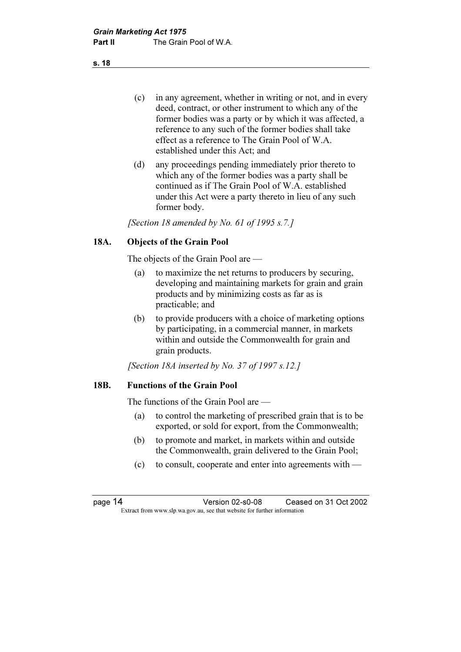(c) in any agreement, whether in writing or not, and in every deed, contract, or other instrument to which any of the former bodies was a party or by which it was affected, a reference to any such of the former bodies shall take effect as a reference to The Grain Pool of W.A. established under this Act; and

 (d) any proceedings pending immediately prior thereto to which any of the former bodies was a party shall be continued as if The Grain Pool of W.A. established under this Act were a party thereto in lieu of any such former body.

[Section 18 amended by No. 61 of 1995 s.7.]

## 18A. Objects of the Grain Pool

The objects of the Grain Pool are —

- (a) to maximize the net returns to producers by securing, developing and maintaining markets for grain and grain products and by minimizing costs as far as is practicable; and
- (b) to provide producers with a choice of marketing options by participating, in a commercial manner, in markets within and outside the Commonwealth for grain and grain products.

[Section 18A inserted by No. 37 of 1997 s.12.]

#### 18B. Functions of the Grain Pool

The functions of the Grain Pool are —

- (a) to control the marketing of prescribed grain that is to be exported, or sold for export, from the Commonwealth;
- (b) to promote and market, in markets within and outside the Commonwealth, grain delivered to the Grain Pool;
- (c) to consult, cooperate and enter into agreements with —

page 14 Version 02-s0-08 Ceased on 31 Oct 2002 Extract from www.slp.wa.gov.au, see that website for further information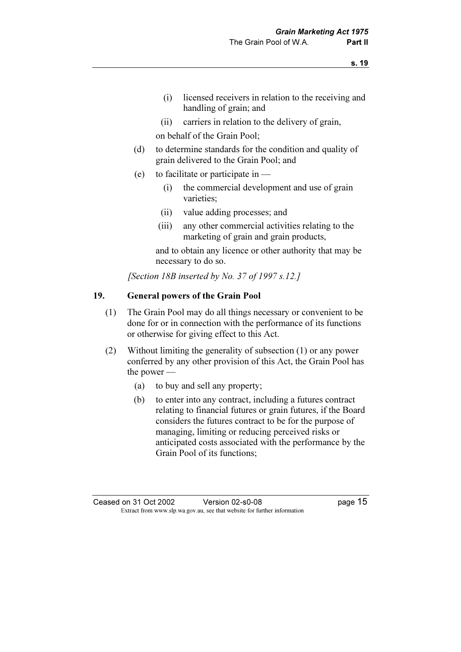- (i) licensed receivers in relation to the receiving and handling of grain; and
- (ii) carriers in relation to the delivery of grain,

on behalf of the Grain Pool;

- (d) to determine standards for the condition and quality of grain delivered to the Grain Pool; and
- (e) to facilitate or participate in
	- (i) the commercial development and use of grain varieties;
	- (ii) value adding processes; and
	- (iii) any other commercial activities relating to the marketing of grain and grain products,

 and to obtain any licence or other authority that may be necessary to do so.

[Section 18B inserted by No. 37 of 1997 s.12.]

## 19. General powers of the Grain Pool

- (1) The Grain Pool may do all things necessary or convenient to be done for or in connection with the performance of its functions or otherwise for giving effect to this Act.
- (2) Without limiting the generality of subsection (1) or any power conferred by any other provision of this Act, the Grain Pool has the power —
	- (a) to buy and sell any property;
	- (b) to enter into any contract, including a futures contract relating to financial futures or grain futures, if the Board considers the futures contract to be for the purpose of managing, limiting or reducing perceived risks or anticipated costs associated with the performance by the Grain Pool of its functions;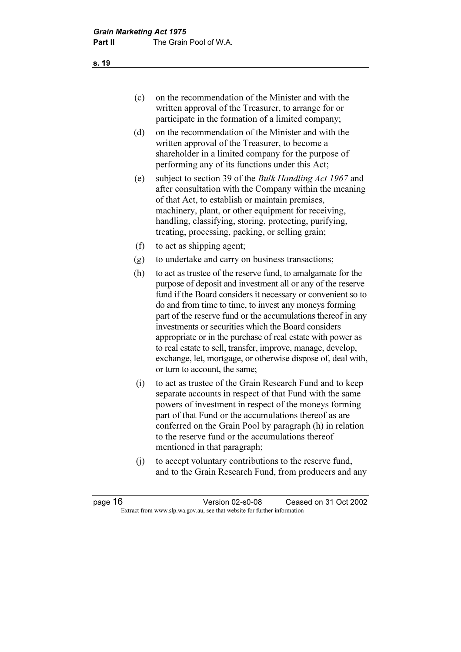- (c) on the recommendation of the Minister and with the written approval of the Treasurer, to arrange for or participate in the formation of a limited company;
- (d) on the recommendation of the Minister and with the written approval of the Treasurer, to become a shareholder in a limited company for the purpose of performing any of its functions under this Act;
- (e) subject to section 39 of the Bulk Handling Act 1967 and after consultation with the Company within the meaning of that Act, to establish or maintain premises, machinery, plant, or other equipment for receiving, handling, classifying, storing, protecting, purifying, treating, processing, packing, or selling grain;
- (f) to act as shipping agent;
- (g) to undertake and carry on business transactions;
- (h) to act as trustee of the reserve fund, to amalgamate for the purpose of deposit and investment all or any of the reserve fund if the Board considers it necessary or convenient so to do and from time to time, to invest any moneys forming part of the reserve fund or the accumulations thereof in any investments or securities which the Board considers appropriate or in the purchase of real estate with power as to real estate to sell, transfer, improve, manage, develop, exchange, let, mortgage, or otherwise dispose of, deal with, or turn to account, the same;
- (i) to act as trustee of the Grain Research Fund and to keep separate accounts in respect of that Fund with the same powers of investment in respect of the moneys forming part of that Fund or the accumulations thereof as are conferred on the Grain Pool by paragraph (h) in relation to the reserve fund or the accumulations thereof mentioned in that paragraph;
- (j) to accept voluntary contributions to the reserve fund, and to the Grain Research Fund, from producers and any

| page 16 | Version 02-s0-08                                                         | Ceased on 31 Oct 2002 |
|---------|--------------------------------------------------------------------------|-----------------------|
|         | Extract from www.slp.wa.gov.au, see that website for further information |                       |

s. 19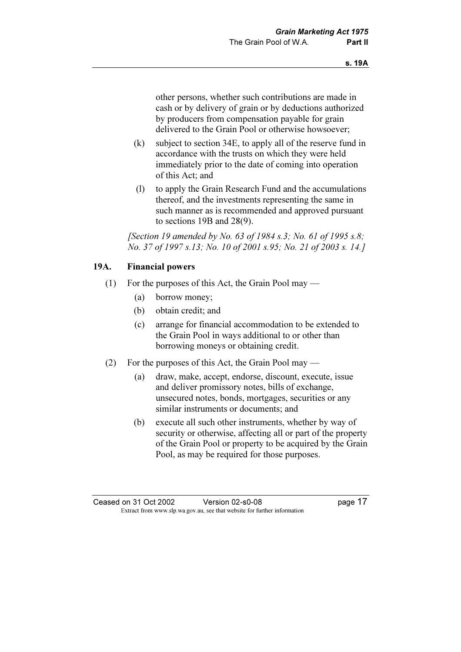other persons, whether such contributions are made in cash or by delivery of grain or by deductions authorized by producers from compensation payable for grain delivered to the Grain Pool or otherwise howsoever;

- (k) subject to section 34E, to apply all of the reserve fund in accordance with the trusts on which they were held immediately prior to the date of coming into operation of this Act; and
- (l) to apply the Grain Research Fund and the accumulations thereof, and the investments representing the same in such manner as is recommended and approved pursuant to sections 19B and 28(9).

[Section 19 amended by No. 63 of 1984 s.3; No. 61 of 1995 s.8; No. 37 of 1997 s.13; No. 10 of 2001 s.95; No. 21 of 2003 s. 14.]

## 19A. Financial powers

- (1) For the purposes of this Act, the Grain Pool may
	- (a) borrow money;
	- (b) obtain credit; and
	- (c) arrange for financial accommodation to be extended to the Grain Pool in ways additional to or other than borrowing moneys or obtaining credit.
- (2) For the purposes of this Act, the Grain Pool may
	- (a) draw, make, accept, endorse, discount, execute, issue and deliver promissory notes, bills of exchange, unsecured notes, bonds, mortgages, securities or any similar instruments or documents; and
	- (b) execute all such other instruments, whether by way of security or otherwise, affecting all or part of the property of the Grain Pool or property to be acquired by the Grain Pool, as may be required for those purposes.

Ceased on 31 Oct 2002 Version 02-s0-08 page 17 Extract from www.slp.wa.gov.au, see that website for further information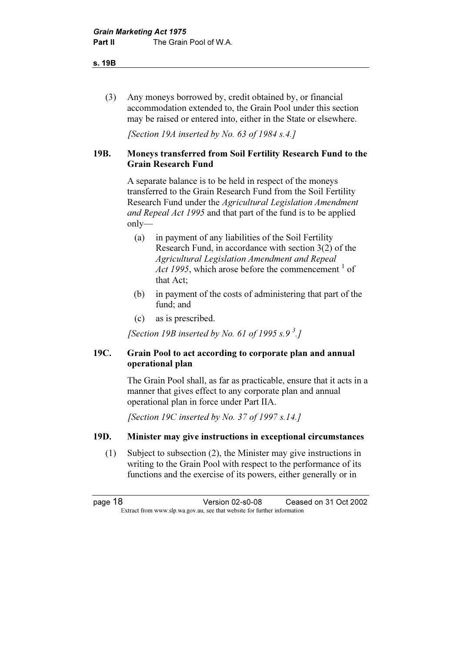s. 19B

 (3) Any moneys borrowed by, credit obtained by, or financial accommodation extended to, the Grain Pool under this section may be raised or entered into, either in the State or elsewhere.

[Section 19A inserted by No. 63 of 1984 s.4.]

## 19B. Moneys transferred from Soil Fertility Research Fund to the Grain Research Fund

 A separate balance is to be held in respect of the moneys transferred to the Grain Research Fund from the Soil Fertility Research Fund under the Agricultural Legislation Amendment and Repeal Act 1995 and that part of the fund is to be applied only—

- (a) in payment of any liabilities of the Soil Fertility Research Fund, in accordance with section 3(2) of the Agricultural Legislation Amendment and Repeal Act 1995, which arose before the commencement  $\frac{1}{1}$  of that Act;
- (b) in payment of the costs of administering that part of the fund; and
- (c) as is prescribed.

[Section 19B inserted by No. 61 of 1995 s.9 $3$ ]

## 19C. Grain Pool to act according to corporate plan and annual operational plan

 The Grain Pool shall, as far as practicable, ensure that it acts in a manner that gives effect to any corporate plan and annual operational plan in force under Part IIA.

[Section 19C inserted by No. 37 of 1997 s.14.]

## 19D. Minister may give instructions in exceptional circumstances

 (1) Subject to subsection (2), the Minister may give instructions in writing to the Grain Pool with respect to the performance of its functions and the exercise of its powers, either generally or in

page 18 Version 02-s0-08 Ceased on 31 Oct 2002 Extract from www.slp.wa.gov.au, see that website for further information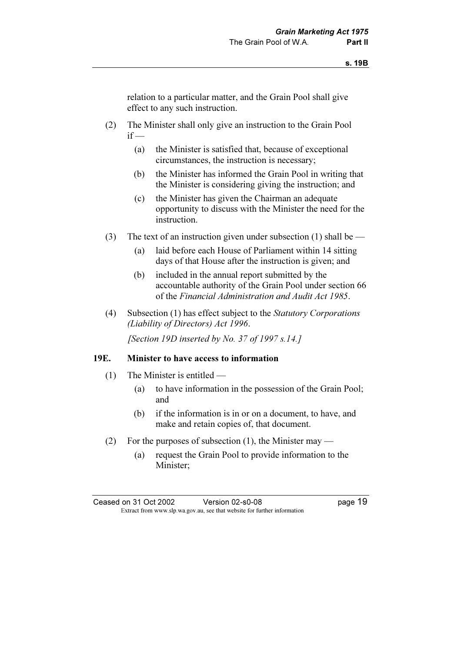relation to a particular matter, and the Grain Pool shall give effect to any such instruction.

- (2) The Minister shall only give an instruction to the Grain Pool  $if -$ 
	- (a) the Minister is satisfied that, because of exceptional circumstances, the instruction is necessary;
	- (b) the Minister has informed the Grain Pool in writing that the Minister is considering giving the instruction; and
	- (c) the Minister has given the Chairman an adequate opportunity to discuss with the Minister the need for the instruction.
- (3) The text of an instruction given under subsection (1) shall be
	- (a) laid before each House of Parliament within 14 sitting days of that House after the instruction is given; and
	- (b) included in the annual report submitted by the accountable authority of the Grain Pool under section 66 of the Financial Administration and Audit Act 1985.
- (4) Subsection (1) has effect subject to the Statutory Corporations (Liability of Directors) Act 1996.

[Section 19D inserted by No. 37 of 1997 s.14.]

#### 19E. Minister to have access to information

- (1) The Minister is entitled
	- (a) to have information in the possession of the Grain Pool; and
	- (b) if the information is in or on a document, to have, and make and retain copies of, that document.
- (2) For the purposes of subsection (1), the Minister may
	- (a) request the Grain Pool to provide information to the Minister;

Ceased on 31 Oct 2002 Version 02-s0-08 page 19 Extract from www.slp.wa.gov.au, see that website for further information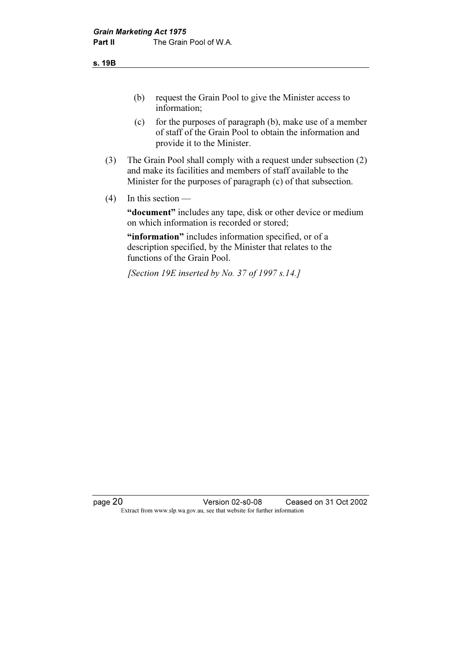s. 19B

- (b) request the Grain Pool to give the Minister access to information;
- (c) for the purposes of paragraph (b), make use of a member of staff of the Grain Pool to obtain the information and provide it to the Minister.
- (3) The Grain Pool shall comply with a request under subsection (2) and make its facilities and members of staff available to the Minister for the purposes of paragraph (c) of that subsection.
- $(4)$  In this section —

"document" includes any tape, disk or other device or medium on which information is recorded or stored;

"information" includes information specified, or of a description specified, by the Minister that relates to the functions of the Grain Pool.

[Section 19E inserted by No. 37 of 1997 s.14.]

page 20 Version 02-s0-08 Ceased on 31 Oct 2002 Extract from www.slp.wa.gov.au, see that website for further information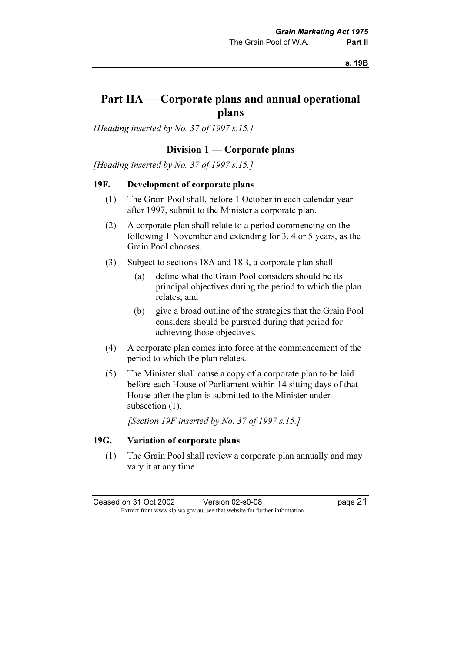## Part IIA — Corporate plans and annual operational plans

[Heading inserted by No. 37 of 1997 s.15.]

#### Division 1 — Corporate plans

[Heading inserted by No. 37 of 1997 s.15.]

#### 19F. Development of corporate plans

- (1) The Grain Pool shall, before 1 October in each calendar year after 1997, submit to the Minister a corporate plan.
- (2) A corporate plan shall relate to a period commencing on the following 1 November and extending for 3, 4 or 5 years, as the Grain Pool chooses.
- (3) Subject to sections 18A and 18B, a corporate plan shall
	- (a) define what the Grain Pool considers should be its principal objectives during the period to which the plan relates; and
	- (b) give a broad outline of the strategies that the Grain Pool considers should be pursued during that period for achieving those objectives.
- (4) A corporate plan comes into force at the commencement of the period to which the plan relates.
- (5) The Minister shall cause a copy of a corporate plan to be laid before each House of Parliament within 14 sitting days of that House after the plan is submitted to the Minister under subsection  $(1)$ .

[Section 19F inserted by No. 37 of 1997 s.15.]

#### 19G. Variation of corporate plans

 (1) The Grain Pool shall review a corporate plan annually and may vary it at any time.

Ceased on 31 Oct 2002 Version 02-s0-08 page 21 Extract from www.slp.wa.gov.au, see that website for further information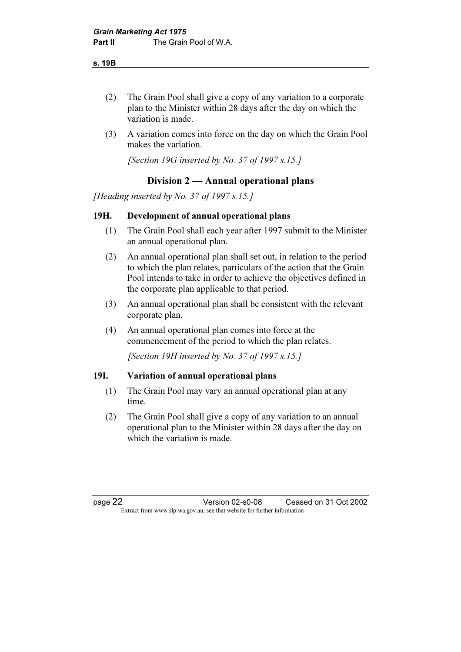s. 19B

- (2) The Grain Pool shall give a copy of any variation to a corporate plan to the Minister within 28 days after the day on which the variation is made.
- (3) A variation comes into force on the day on which the Grain Pool makes the variation.

[Section 19G inserted by No. 37 of 1997 s.15.]

## Division 2 — Annual operational plans

[Heading inserted by No. 37 of 1997 s.15.]

## 19H. Development of annual operational plans

- (1) The Grain Pool shall each year after 1997 submit to the Minister an annual operational plan.
- (2) An annual operational plan shall set out, in relation to the period to which the plan relates, particulars of the action that the Grain Pool intends to take in order to achieve the objectives defined in the corporate plan applicable to that period.
- (3) An annual operational plan shall be consistent with the relevant corporate plan.
- (4) An annual operational plan comes into force at the commencement of the period to which the plan relates.

[Section 19H inserted by No. 37 of 1997 s.15.]

#### 19I. Variation of annual operational plans

- (1) The Grain Pool may vary an annual operational plan at any time.
- (2) The Grain Pool shall give a copy of any variation to an annual operational plan to the Minister within 28 days after the day on which the variation is made.

page 22 Version 02-s0-08 Ceased on 31 Oct 2002 Extract from www.slp.wa.gov.au, see that website for further information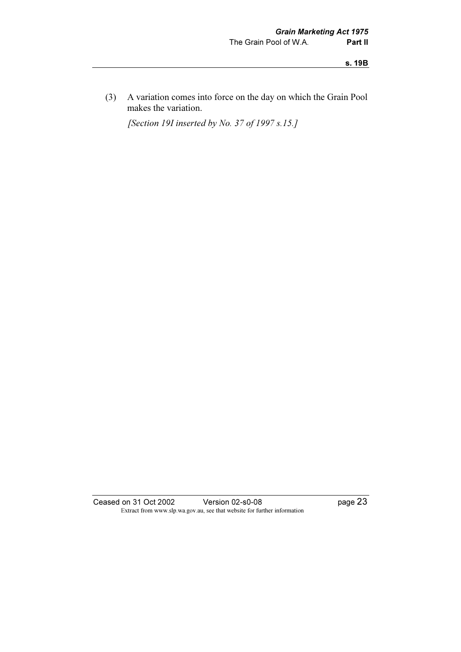s. 19B

 (3) A variation comes into force on the day on which the Grain Pool makes the variation.

[Section 19I inserted by No. 37 of 1997 s.15.]

Ceased on 31 Oct 2002 Version 02-s0-08 page 23 Extract from www.slp.wa.gov.au, see that website for further information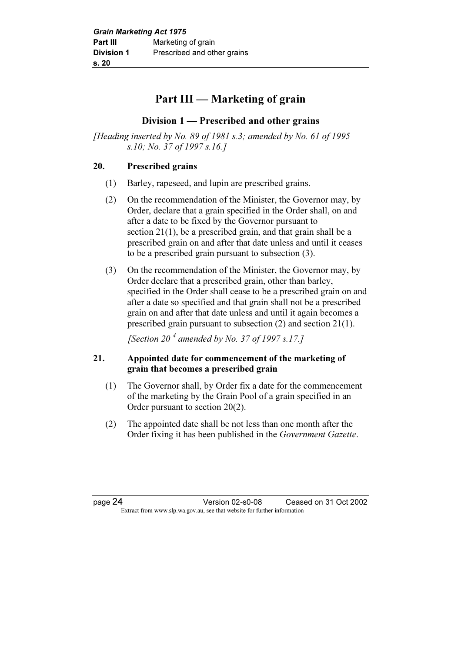## Part III — Marketing of grain

## Division 1 — Prescribed and other grains

[Heading inserted by No. 89 of 1981 s.3; amended by No. 61 of 1995 s.10; No. 37 of 1997 s.16.]

## 20. Prescribed grains

- (1) Barley, rapeseed, and lupin are prescribed grains.
- (2) On the recommendation of the Minister, the Governor may, by Order, declare that a grain specified in the Order shall, on and after a date to be fixed by the Governor pursuant to section 21(1), be a prescribed grain, and that grain shall be a prescribed grain on and after that date unless and until it ceases to be a prescribed grain pursuant to subsection (3).
- (3) On the recommendation of the Minister, the Governor may, by Order declare that a prescribed grain, other than barley, specified in the Order shall cease to be a prescribed grain on and after a date so specified and that grain shall not be a prescribed grain on and after that date unless and until it again becomes a prescribed grain pursuant to subsection (2) and section 21(1).

[Section 20<sup> $4$ </sup> amended by No. 37 of 1997 s.17.]

## 21. Appointed date for commencement of the marketing of grain that becomes a prescribed grain

- (1) The Governor shall, by Order fix a date for the commencement of the marketing by the Grain Pool of a grain specified in an Order pursuant to section 20(2).
- (2) The appointed date shall be not less than one month after the Order fixing it has been published in the Government Gazette.

page 24 Version 02-s0-08 Ceased on 31 Oct 2002 Extract from www.slp.wa.gov.au, see that website for further information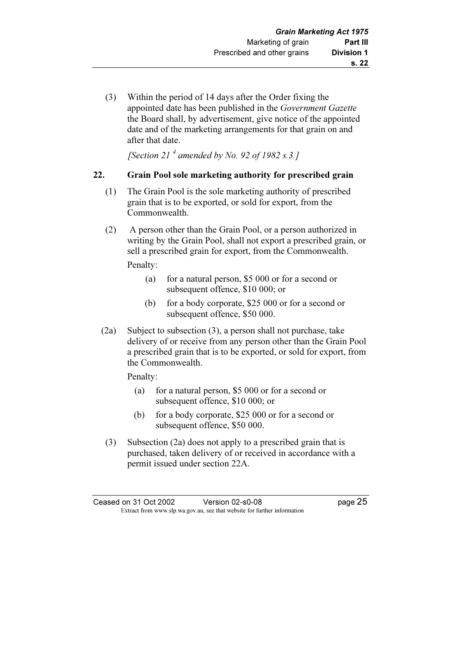(3) Within the period of 14 days after the Order fixing the appointed date has been published in the Government Gazette the Board shall, by advertisement, give notice of the appointed date and of the marketing arrangements for that grain on and after that date.

[Section 21<sup> $4$ </sup> amended by No. 92 of 1982 s.3.]

## 22. Grain Pool sole marketing authority for prescribed grain

- (1) The Grain Pool is the sole marketing authority of prescribed grain that is to be exported, or sold for export, from the Commonwealth.
- (2) A person other than the Grain Pool, or a person authorized in writing by the Grain Pool, shall not export a prescribed grain, or sell a prescribed grain for export, from the Commonwealth.

Penalty:

- (a) for a natural person, \$5 000 or for a second or subsequent offence, \$10 000; or
- (b) for a body corporate, \$25 000 or for a second or subsequent offence, \$50 000.
- (2a) Subject to subsection (3), a person shall not purchase, take delivery of or receive from any person other than the Grain Pool a prescribed grain that is to be exported, or sold for export, from the Commonwealth.

Penalty:

- (a) for a natural person, \$5 000 or for a second or subsequent offence, \$10 000; or
- (b) for a body corporate, \$25 000 or for a second or subsequent offence, \$50 000.
- (3) Subsection (2a) does not apply to a prescribed grain that is purchased, taken delivery of or received in accordance with a permit issued under section 22A.

Ceased on 31 Oct 2002 Version 02-s0-08 page 25 Extract from www.slp.wa.gov.au, see that website for further information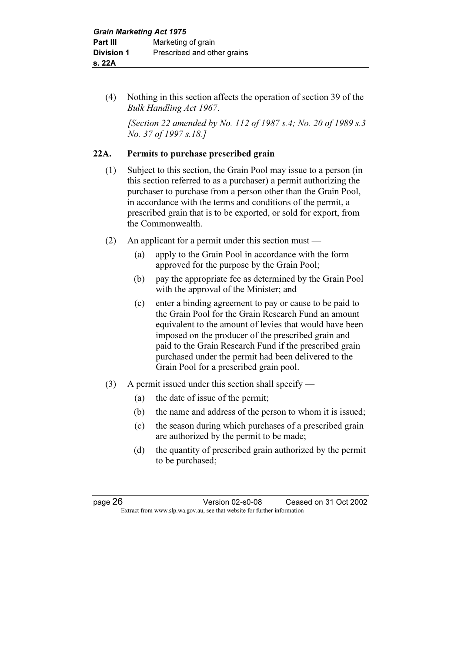(4) Nothing in this section affects the operation of section 39 of the Bulk Handling Act 1967.

[Section 22 amended by No. 112 of 1987 s.4; No. 20 of 1989 s.3 No. 37 of 1997 s.18.]

## 22A. Permits to purchase prescribed grain

- (1) Subject to this section, the Grain Pool may issue to a person (in this section referred to as a purchaser) a permit authorizing the purchaser to purchase from a person other than the Grain Pool, in accordance with the terms and conditions of the permit, a prescribed grain that is to be exported, or sold for export, from the Commonwealth.
- (2) An applicant for a permit under this section must
	- (a) apply to the Grain Pool in accordance with the form approved for the purpose by the Grain Pool;
	- (b) pay the appropriate fee as determined by the Grain Pool with the approval of the Minister; and
	- (c) enter a binding agreement to pay or cause to be paid to the Grain Pool for the Grain Research Fund an amount equivalent to the amount of levies that would have been imposed on the producer of the prescribed grain and paid to the Grain Research Fund if the prescribed grain purchased under the permit had been delivered to the Grain Pool for a prescribed grain pool.
- (3) A permit issued under this section shall specify
	- (a) the date of issue of the permit;
	- (b) the name and address of the person to whom it is issued;
	- (c) the season during which purchases of a prescribed grain are authorized by the permit to be made;
	- (d) the quantity of prescribed grain authorized by the permit to be purchased;

page 26 Version 02-s0-08 Ceased on 31 Oct 2002 Extract from www.slp.wa.gov.au, see that website for further information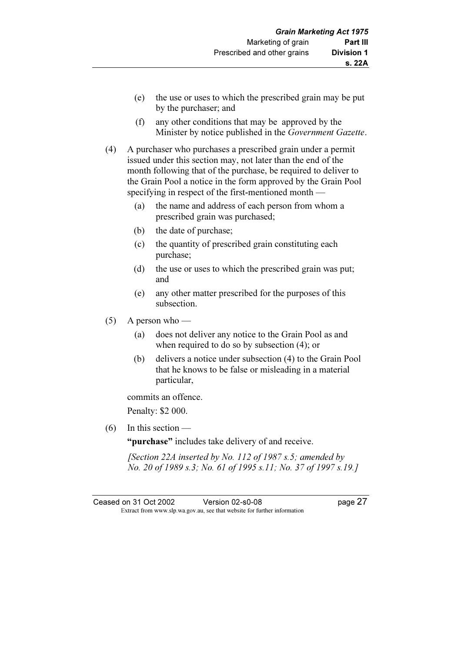- (e) the use or uses to which the prescribed grain may be put by the purchaser; and
- (f) any other conditions that may be approved by the Minister by notice published in the Government Gazette.
- (4) A purchaser who purchases a prescribed grain under a permit issued under this section may, not later than the end of the month following that of the purchase, be required to deliver to the Grain Pool a notice in the form approved by the Grain Pool specifying in respect of the first-mentioned month —
	- (a) the name and address of each person from whom a prescribed grain was purchased;
	- (b) the date of purchase;
	- (c) the quantity of prescribed grain constituting each purchase;
	- (d) the use or uses to which the prescribed grain was put; and
	- (e) any other matter prescribed for the purposes of this subsection.
- (5) A person who
	- (a) does not deliver any notice to the Grain Pool as and when required to do so by subsection (4); or
	- (b) delivers a notice under subsection (4) to the Grain Pool that he knows to be false or misleading in a material particular,

commits an offence.

Penalty: \$2 000.

 $(6)$  In this section —

"**purchase**" includes take delivery of and receive.

[Section 22A inserted by No. 112 of 1987 s.5; amended by No. 20 of 1989 s.3; No. 61 of 1995 s.11; No. 37 of 1997 s.19.]

Ceased on 31 Oct 2002 Version 02-s0-08 page 27 Extract from www.slp.wa.gov.au, see that website for further information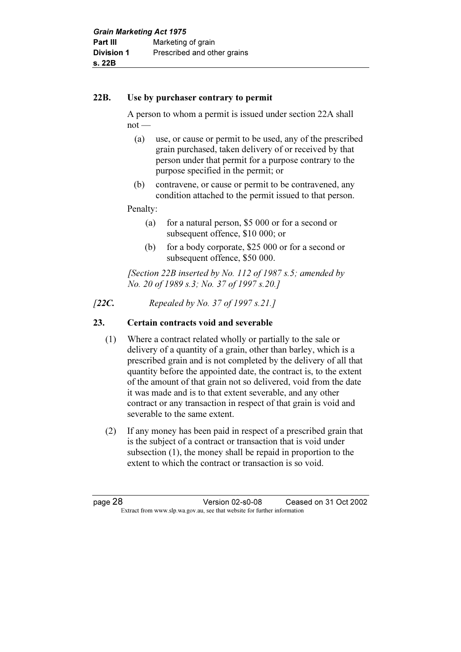#### 22B. Use by purchaser contrary to permit

 A person to whom a permit is issued under section 22A shall  $not$  —

- (a) use, or cause or permit to be used, any of the prescribed grain purchased, taken delivery of or received by that person under that permit for a purpose contrary to the purpose specified in the permit; or
- (b) contravene, or cause or permit to be contravened, any condition attached to the permit issued to that person.

## Penalty:

- (a) for a natural person, \$5 000 or for a second or subsequent offence, \$10 000; or
- (b) for a body corporate, \$25 000 or for a second or subsequent offence, \$50 000.

[Section 22B inserted by No. 112 of 1987 s.5; amended by No. 20 of 1989 s.3; No. 37 of 1997 s.20.]

[22C. Repealed by No. 37 of 1997 s.21.]

## 23. Certain contracts void and severable

- (1) Where a contract related wholly or partially to the sale or delivery of a quantity of a grain, other than barley, which is a prescribed grain and is not completed by the delivery of all that quantity before the appointed date, the contract is, to the extent of the amount of that grain not so delivered, void from the date it was made and is to that extent severable, and any other contract or any transaction in respect of that grain is void and severable to the same extent.
- (2) If any money has been paid in respect of a prescribed grain that is the subject of a contract or transaction that is void under subsection (1), the money shall be repaid in proportion to the extent to which the contract or transaction is so void.

page 28 Version 02-s0-08 Ceased on 31 Oct 2002 Extract from www.slp.wa.gov.au, see that website for further information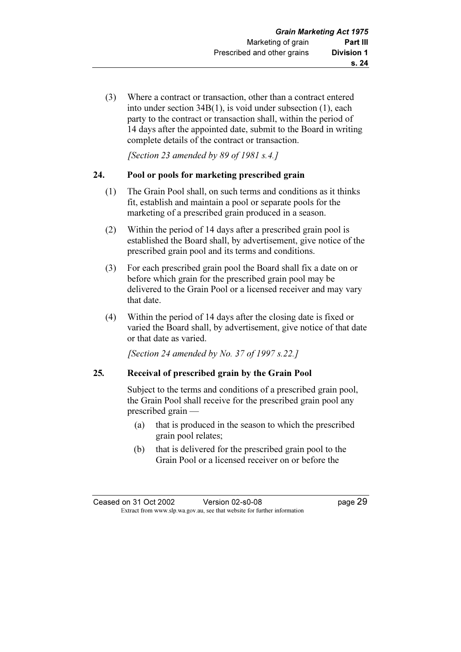(3) Where a contract or transaction, other than a contract entered into under section 34B(1), is void under subsection (1), each party to the contract or transaction shall, within the period of 14 days after the appointed date, submit to the Board in writing complete details of the contract or transaction.

[Section 23 amended by 89 of 1981 s.4.]

## 24. Pool or pools for marketing prescribed grain

- (1) The Grain Pool shall, on such terms and conditions as it thinks fit, establish and maintain a pool or separate pools for the marketing of a prescribed grain produced in a season.
- (2) Within the period of 14 days after a prescribed grain pool is established the Board shall, by advertisement, give notice of the prescribed grain pool and its terms and conditions.
- (3) For each prescribed grain pool the Board shall fix a date on or before which grain for the prescribed grain pool may be delivered to the Grain Pool or a licensed receiver and may vary that date.
- (4) Within the period of 14 days after the closing date is fixed or varied the Board shall, by advertisement, give notice of that date or that date as varied.

[Section 24 amended by No. 37 of 1997  $s.22.1$ ]

## 25. Receival of prescribed grain by the Grain Pool

 Subject to the terms and conditions of a prescribed grain pool, the Grain Pool shall receive for the prescribed grain pool any prescribed grain —

- (a) that is produced in the season to which the prescribed grain pool relates;
- (b) that is delivered for the prescribed grain pool to the Grain Pool or a licensed receiver on or before the

| Ceased on 31 Oct 2002 | Version 02-s0-08                                                         | page 29 |
|-----------------------|--------------------------------------------------------------------------|---------|
|                       | Extract from www.slp.wa.gov.au, see that website for further information |         |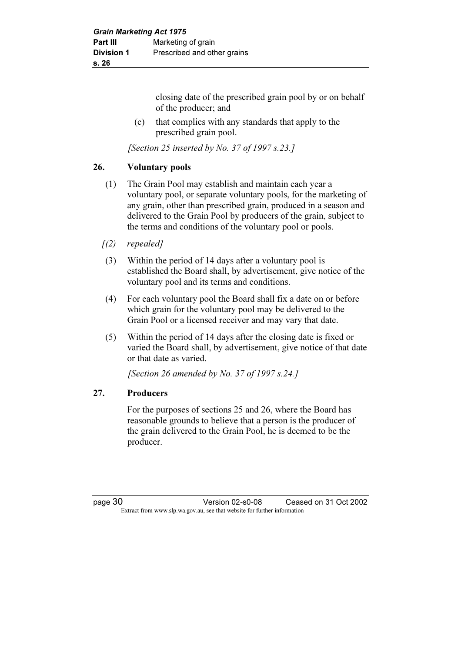closing date of the prescribed grain pool by or on behalf of the producer; and

 (c) that complies with any standards that apply to the prescribed grain pool.

[Section 25 inserted by No. 37 of 1997 s.23.]

## 26. Voluntary pools

- (1) The Grain Pool may establish and maintain each year a voluntary pool, or separate voluntary pools, for the marketing of any grain, other than prescribed grain, produced in a season and delivered to the Grain Pool by producers of the grain, subject to the terms and conditions of the voluntary pool or pools.
- $(2)$  repealed]
- (3) Within the period of 14 days after a voluntary pool is established the Board shall, by advertisement, give notice of the voluntary pool and its terms and conditions.
- (4) For each voluntary pool the Board shall fix a date on or before which grain for the voluntary pool may be delivered to the Grain Pool or a licensed receiver and may vary that date.
- (5) Within the period of 14 days after the closing date is fixed or varied the Board shall, by advertisement, give notice of that date or that date as varied.

[Section 26 amended by No. 37 of 1997 s.24.]

## 27. Producers

 For the purposes of sections 25 and 26, where the Board has reasonable grounds to believe that a person is the producer of the grain delivered to the Grain Pool, he is deemed to be the producer.

page 30 Version 02-s0-08 Ceased on 31 Oct 2002 Extract from www.slp.wa.gov.au, see that website for further information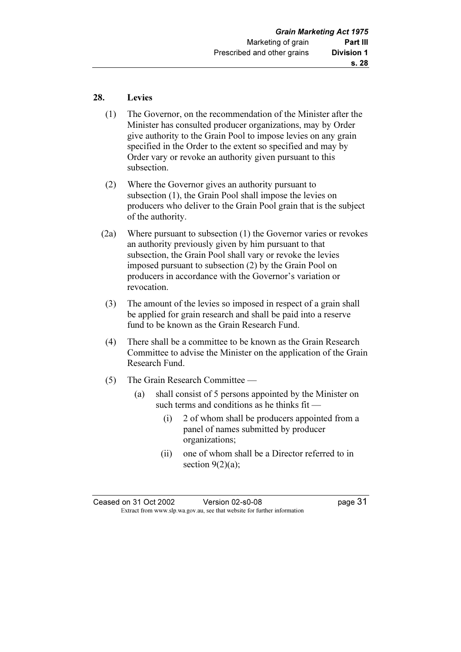#### 28. Levies

- (1) The Governor, on the recommendation of the Minister after the Minister has consulted producer organizations, may by Order give authority to the Grain Pool to impose levies on any grain specified in the Order to the extent so specified and may by Order vary or revoke an authority given pursuant to this subsection.
- (2) Where the Governor gives an authority pursuant to subsection (1), the Grain Pool shall impose the levies on producers who deliver to the Grain Pool grain that is the subject of the authority.
- (2a) Where pursuant to subsection (1) the Governor varies or revokes an authority previously given by him pursuant to that subsection, the Grain Pool shall vary or revoke the levies imposed pursuant to subsection (2) by the Grain Pool on producers in accordance with the Governor's variation or revocation.
- (3) The amount of the levies so imposed in respect of a grain shall be applied for grain research and shall be paid into a reserve fund to be known as the Grain Research Fund.
- (4) There shall be a committee to be known as the Grain Research Committee to advise the Minister on the application of the Grain Research Fund.
- (5) The Grain Research Committee
	- (a) shall consist of 5 persons appointed by the Minister on such terms and conditions as he thinks fit —
		- (i) 2 of whom shall be producers appointed from a panel of names submitted by producer organizations;
		- (ii) one of whom shall be a Director referred to in section  $9(2)(a)$ ;

Ceased on 31 Oct 2002 Version 02-s0-08 page 31 Extract from www.slp.wa.gov.au, see that website for further information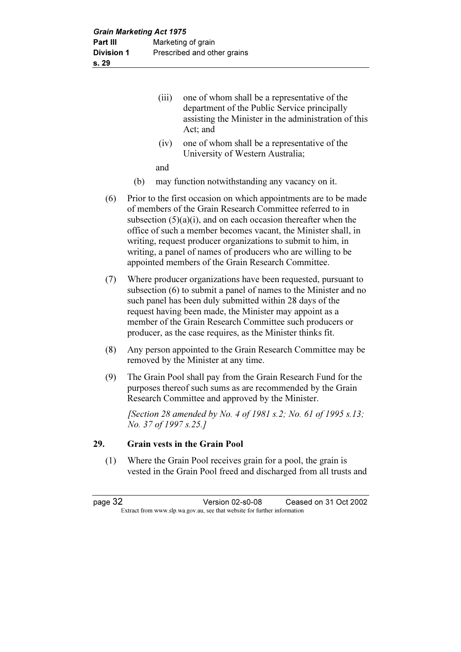- (iii) one of whom shall be a representative of the department of the Public Service principally assisting the Minister in the administration of this Act; and
- (iv) one of whom shall be a representative of the University of Western Australia;

and

- (b) may function notwithstanding any vacancy on it.
- (6) Prior to the first occasion on which appointments are to be made of members of the Grain Research Committee referred to in subsection (5)(a)(i), and on each occasion thereafter when the office of such a member becomes vacant, the Minister shall, in writing, request producer organizations to submit to him, in writing, a panel of names of producers who are willing to be appointed members of the Grain Research Committee.
- (7) Where producer organizations have been requested, pursuant to subsection (6) to submit a panel of names to the Minister and no such panel has been duly submitted within 28 days of the request having been made, the Minister may appoint as a member of the Grain Research Committee such producers or producer, as the case requires, as the Minister thinks fit.
- (8) Any person appointed to the Grain Research Committee may be removed by the Minister at any time.
- (9) The Grain Pool shall pay from the Grain Research Fund for the purposes thereof such sums as are recommended by the Grain Research Committee and approved by the Minister.

[Section 28 amended by No. 4 of 1981 s.2; No. 61 of 1995 s.13; No. 37 of 1997 s.25.]

#### 29. Grain vests in the Grain Pool

 (1) Where the Grain Pool receives grain for a pool, the grain is vested in the Grain Pool freed and discharged from all trusts and

page 32 Version 02-s0-08 Ceased on 31 Oct 2002 Extract from www.slp.wa.gov.au, see that website for further information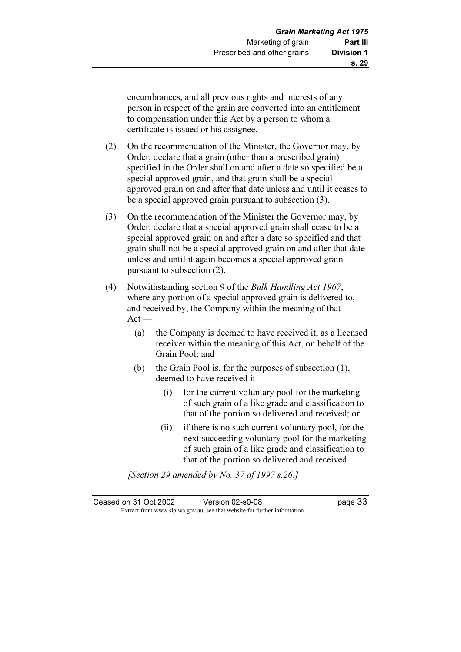encumbrances, and all previous rights and interests of any person in respect of the grain are converted into an entitlement to compensation under this Act by a person to whom a certificate is issued or his assignee.

- (2) On the recommendation of the Minister, the Governor may, by Order, declare that a grain (other than a prescribed grain) specified in the Order shall on and after a date so specified be a special approved grain, and that grain shall be a special approved grain on and after that date unless and until it ceases to be a special approved grain pursuant to subsection (3).
- (3) On the recommendation of the Minister the Governor may, by Order, declare that a special approved grain shall cease to be a special approved grain on and after a date so specified and that grain shall not be a special approved grain on and after that date unless and until it again becomes a special approved grain pursuant to subsection (2).
- (4) Notwithstanding section 9 of the Bulk Handling Act 1967, where any portion of a special approved grain is delivered to, and received by, the Company within the meaning of that  $Act -$ 
	- (a) the Company is deemed to have received it, as a licensed receiver within the meaning of this Act, on behalf of the Grain Pool; and
	- (b) the Grain Pool is, for the purposes of subsection (1), deemed to have received it —
		- (i) for the current voluntary pool for the marketing of such grain of a like grade and classification to that of the portion so delivered and received; or
		- (ii) if there is no such current voluntary pool, for the next succeeding voluntary pool for the marketing of such grain of a like grade and classification to that of the portion so delivered and received.

[Section 29 amended by No. 37 of 1997 s.26.]

| Ceased on 31 Oct 2002 | Version 02-s0-08                                                         | page 33 |
|-----------------------|--------------------------------------------------------------------------|---------|
|                       | Extract from www.slp.wa.gov.au, see that website for further information |         |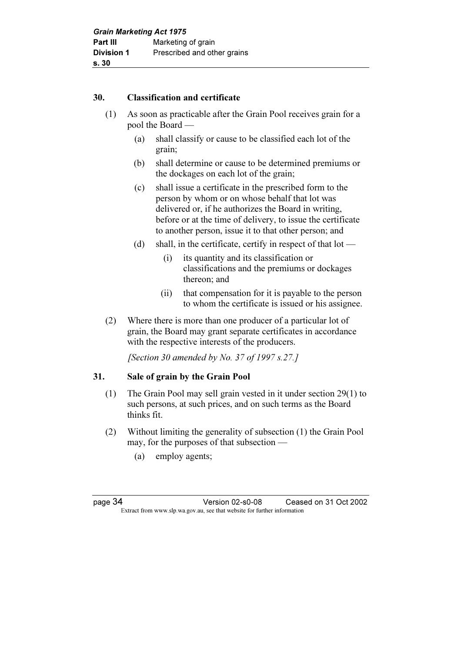#### 30. Classification and certificate

- (1) As soon as practicable after the Grain Pool receives grain for a pool the Board —
	- (a) shall classify or cause to be classified each lot of the grain;
	- (b) shall determine or cause to be determined premiums or the dockages on each lot of the grain;
	- (c) shall issue a certificate in the prescribed form to the person by whom or on whose behalf that lot was delivered or, if he authorizes the Board in writing, before or at the time of delivery, to issue the certificate to another person, issue it to that other person; and
	- (d) shall, in the certificate, certify in respect of that lot
		- (i) its quantity and its classification or classifications and the premiums or dockages thereon; and
		- (ii) that compensation for it is payable to the person to whom the certificate is issued or his assignee.
- (2) Where there is more than one producer of a particular lot of grain, the Board may grant separate certificates in accordance with the respective interests of the producers.

[Section 30 amended by No. 37 of 1997 s.27.]

## 31. Sale of grain by the Grain Pool

- (1) The Grain Pool may sell grain vested in it under section 29(1) to such persons, at such prices, and on such terms as the Board thinks fit.
- (2) Without limiting the generality of subsection (1) the Grain Pool may, for the purposes of that subsection —
	- (a) employ agents;

page 34 Version 02-s0-08 Ceased on 31 Oct 2002 Extract from www.slp.wa.gov.au, see that website for further information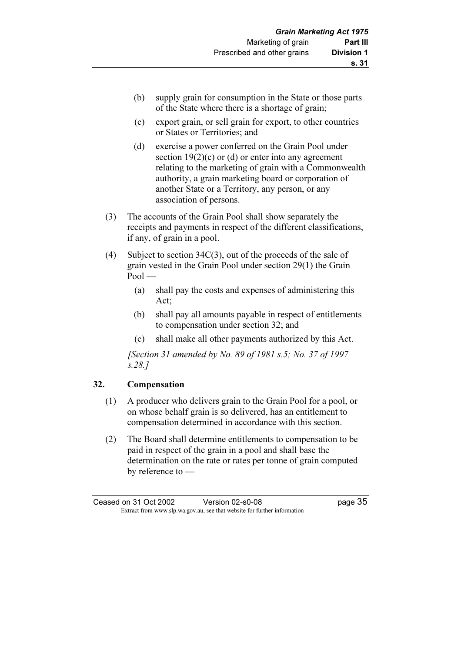- (b) supply grain for consumption in the State or those parts of the State where there is a shortage of grain;
- (c) export grain, or sell grain for export, to other countries or States or Territories; and
- (d) exercise a power conferred on the Grain Pool under section  $19(2)(c)$  or (d) or enter into any agreement relating to the marketing of grain with a Commonwealth authority, a grain marketing board or corporation of another State or a Territory, any person, or any association of persons.
- (3) The accounts of the Grain Pool shall show separately the receipts and payments in respect of the different classifications, if any, of grain in a pool.
- (4) Subject to section 34C(3), out of the proceeds of the sale of grain vested in the Grain Pool under section 29(1) the Grain  $Pool$ 
	- (a) shall pay the costs and expenses of administering this Act;
	- (b) shall pay all amounts payable in respect of entitlements to compensation under section 32; and
	- (c) shall make all other payments authorized by this Act.

 [Section 31 amended by No. 89 of 1981 s.5; No. 37 of 1997 s.28.]

## 32. Compensation

- (1) A producer who delivers grain to the Grain Pool for a pool, or on whose behalf grain is so delivered, has an entitlement to compensation determined in accordance with this section.
- (2) The Board shall determine entitlements to compensation to be paid in respect of the grain in a pool and shall base the determination on the rate or rates per tonne of grain computed by reference to —

Ceased on 31 Oct 2002 Version 02-s0-08 Page 35 Extract from www.slp.wa.gov.au, see that website for further information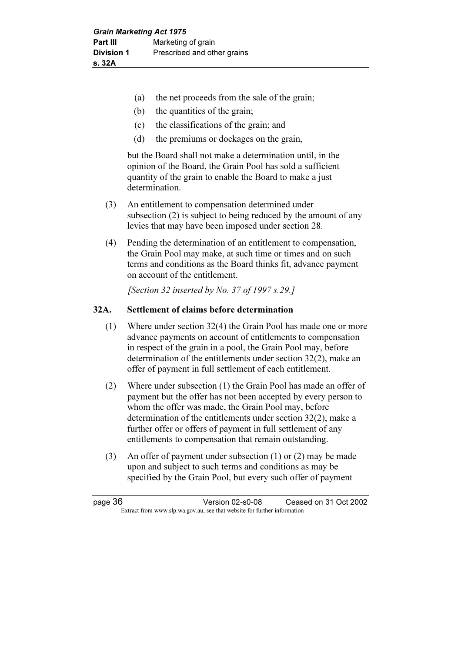- (a) the net proceeds from the sale of the grain;
- (b) the quantities of the grain;
- (c) the classifications of the grain; and
- (d) the premiums or dockages on the grain,

 but the Board shall not make a determination until, in the opinion of the Board, the Grain Pool has sold a sufficient quantity of the grain to enable the Board to make a just determination.

- (3) An entitlement to compensation determined under subsection (2) is subject to being reduced by the amount of any levies that may have been imposed under section 28.
- (4) Pending the determination of an entitlement to compensation, the Grain Pool may make, at such time or times and on such terms and conditions as the Board thinks fit, advance payment on account of the entitlement.

[Section 32 inserted by No. 37 of 1997 s.29.]

#### 32A. Settlement of claims before determination

- (1) Where under section 32(4) the Grain Pool has made one or more advance payments on account of entitlements to compensation in respect of the grain in a pool, the Grain Pool may, before determination of the entitlements under section 32(2), make an offer of payment in full settlement of each entitlement.
- (2) Where under subsection (1) the Grain Pool has made an offer of payment but the offer has not been accepted by every person to whom the offer was made, the Grain Pool may, before determination of the entitlements under section 32(2), make a further offer or offers of payment in full settlement of any entitlements to compensation that remain outstanding.
- (3) An offer of payment under subsection (1) or (2) may be made upon and subject to such terms and conditions as may be specified by the Grain Pool, but every such offer of payment

page 36 Version 02-s0-08 Ceased on 31 Oct 2002 Extract from www.slp.wa.gov.au, see that website for further information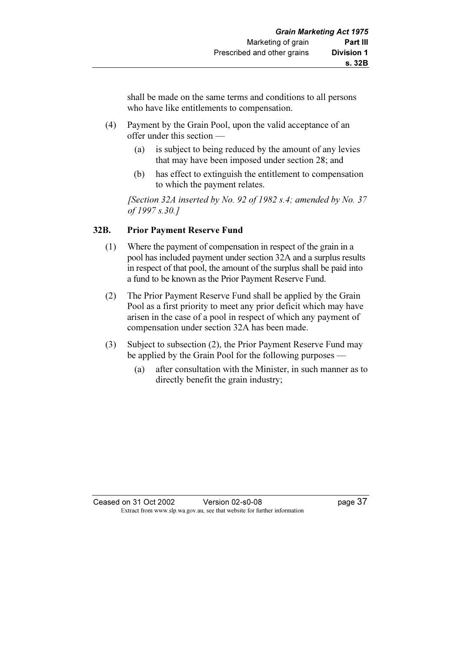shall be made on the same terms and conditions to all persons who have like entitlements to compensation.

- (4) Payment by the Grain Pool, upon the valid acceptance of an offer under this section —
	- (a) is subject to being reduced by the amount of any levies that may have been imposed under section 28; and
	- (b) has effect to extinguish the entitlement to compensation to which the payment relates.

[Section 32A inserted by No. 92 of 1982 s.4; amended by No. 37] of 1997 s.30.]

## 32B. Prior Payment Reserve Fund

- (1) Where the payment of compensation in respect of the grain in a pool has included payment under section 32A and a surplus results in respect of that pool, the amount of the surplus shall be paid into a fund to be known as the Prior Payment Reserve Fund.
- (2) The Prior Payment Reserve Fund shall be applied by the Grain Pool as a first priority to meet any prior deficit which may have arisen in the case of a pool in respect of which any payment of compensation under section 32A has been made.
- (3) Subject to subsection (2), the Prior Payment Reserve Fund may be applied by the Grain Pool for the following purposes -
	- (a) after consultation with the Minister, in such manner as to directly benefit the grain industry;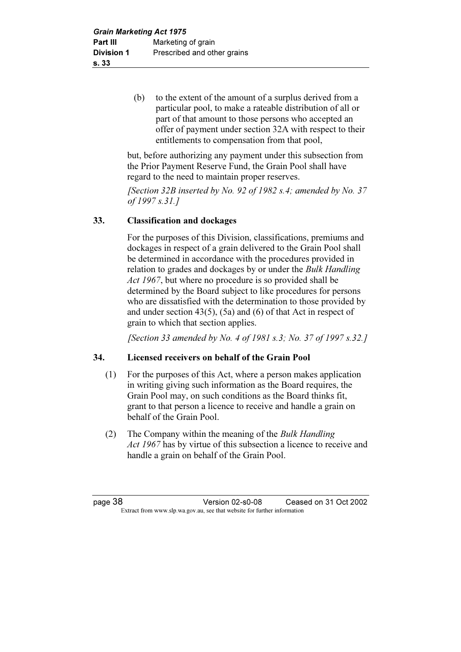(b) to the extent of the amount of a surplus derived from a particular pool, to make a rateable distribution of all or part of that amount to those persons who accepted an offer of payment under section 32A with respect to their entitlements to compensation from that pool,

 but, before authorizing any payment under this subsection from the Prior Payment Reserve Fund, the Grain Pool shall have regard to the need to maintain proper reserves.

[Section 32B inserted by No. 92 of 1982 s.4; amended by No. 37 of 1997 s.31.]

## 33. Classification and dockages

 For the purposes of this Division, classifications, premiums and dockages in respect of a grain delivered to the Grain Pool shall be determined in accordance with the procedures provided in relation to grades and dockages by or under the Bulk Handling Act 1967, but where no procedure is so provided shall be determined by the Board subject to like procedures for persons who are dissatisfied with the determination to those provided by and under section 43(5), (5a) and (6) of that Act in respect of grain to which that section applies.

[Section 33 amended by No. 4 of 1981 s.3; No. 37 of 1997 s.32.]

## 34. Licensed receivers on behalf of the Grain Pool

- (1) For the purposes of this Act, where a person makes application in writing giving such information as the Board requires, the Grain Pool may, on such conditions as the Board thinks fit, grant to that person a licence to receive and handle a grain on behalf of the Grain Pool.
- (2) The Company within the meaning of the Bulk Handling Act 1967 has by virtue of this subsection a licence to receive and handle a grain on behalf of the Grain Pool.

page 38 Version 02-s0-08 Ceased on 31 Oct 2002 Extract from www.slp.wa.gov.au, see that website for further information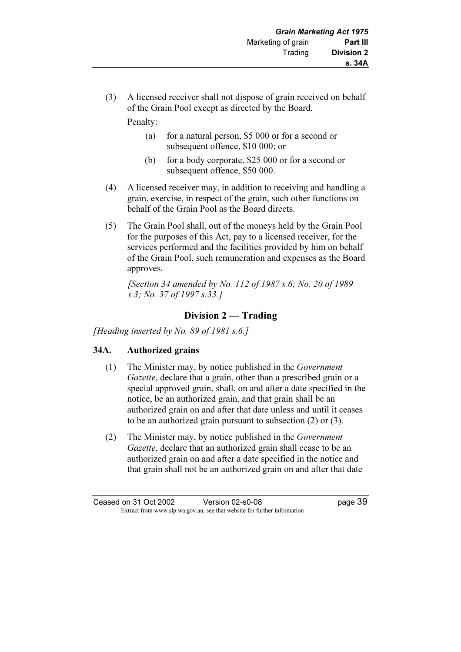(3) A licensed receiver shall not dispose of grain received on behalf of the Grain Pool except as directed by the Board.

Penalty:

- (a) for a natural person, \$5 000 or for a second or subsequent offence, \$10 000; or
- (b) for a body corporate, \$25 000 or for a second or subsequent offence, \$50 000.
- (4) A licensed receiver may, in addition to receiving and handling a grain, exercise, in respect of the grain, such other functions on behalf of the Grain Pool as the Board directs.
- (5) The Grain Pool shall, out of the moneys held by the Grain Pool for the purposes of this Act, pay to a licensed receiver, for the services performed and the facilities provided by him on behalf of the Grain Pool, such remuneration and expenses as the Board approves.

 [Section 34 amended by No. 112 of 1987 s.6; No. 20 of 1989 s.3; No. 37 of 1997 s.33.]

## Division 2 — Trading

[Heading inserted by No. 89 of 1981 s.6.]

## 34A. Authorized grains

- (1) The Minister may, by notice published in the Government Gazette, declare that a grain, other than a prescribed grain or a special approved grain, shall, on and after a date specified in the notice, be an authorized grain, and that grain shall be an authorized grain on and after that date unless and until it ceases to be an authorized grain pursuant to subsection (2) or (3).
- (2) The Minister may, by notice published in the Government Gazette, declare that an authorized grain shall cease to be an authorized grain on and after a date specified in the notice and that grain shall not be an authorized grain on and after that date

Ceased on 31 Oct 2002 Version 02-s0-08 page 39 Extract from www.slp.wa.gov.au, see that website for further information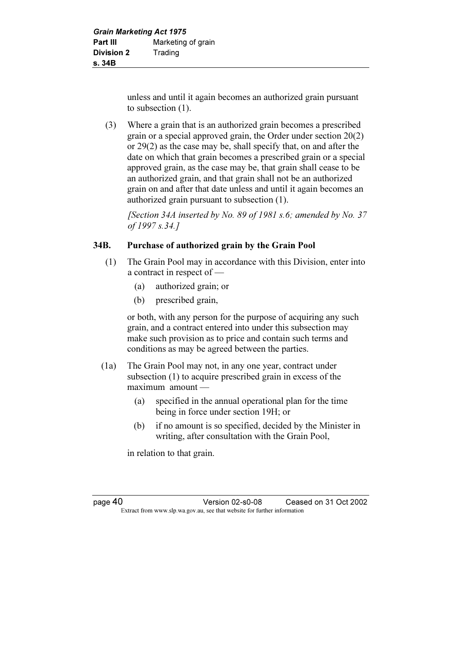unless and until it again becomes an authorized grain pursuant to subsection (1).

 (3) Where a grain that is an authorized grain becomes a prescribed grain or a special approved grain, the Order under section 20(2) or 29(2) as the case may be, shall specify that, on and after the date on which that grain becomes a prescribed grain or a special approved grain, as the case may be, that grain shall cease to be an authorized grain, and that grain shall not be an authorized grain on and after that date unless and until it again becomes an authorized grain pursuant to subsection (1).

[Section 34A inserted by No. 89 of 1981 s.6; amended by No. 37 of 1997 s.34.]

## 34B. Purchase of authorized grain by the Grain Pool

- (1) The Grain Pool may in accordance with this Division, enter into a contract in respect of —
	- (a) authorized grain; or
	- (b) prescribed grain,

 or both, with any person for the purpose of acquiring any such grain, and a contract entered into under this subsection may make such provision as to price and contain such terms and conditions as may be agreed between the parties.

- (1a) The Grain Pool may not, in any one year, contract under subsection (1) to acquire prescribed grain in excess of the maximum amount —
	- (a) specified in the annual operational plan for the time being in force under section 19H; or
	- (b) if no amount is so specified, decided by the Minister in writing, after consultation with the Grain Pool,

in relation to that grain.

page 40 Version 02-s0-08 Ceased on 31 Oct 2002 Extract from www.slp.wa.gov.au, see that website for further information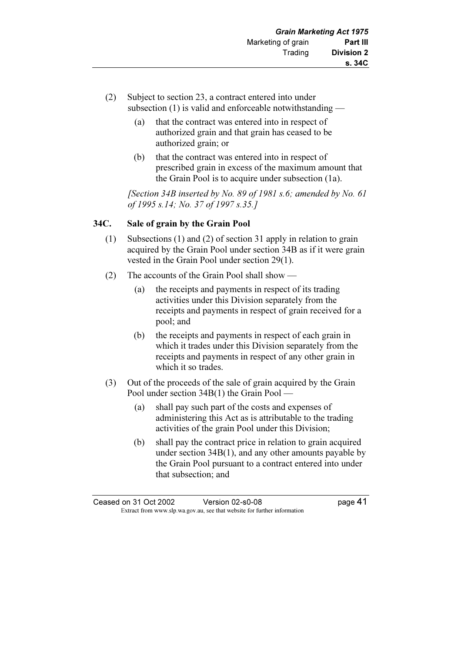- (2) Subject to section 23, a contract entered into under subsection (1) is valid and enforceable notwithstanding —
	- (a) that the contract was entered into in respect of authorized grain and that grain has ceased to be authorized grain; or
	- (b) that the contract was entered into in respect of prescribed grain in excess of the maximum amount that the Grain Pool is to acquire under subsection (1a).

[Section 34B inserted by No. 89 of 1981 s.6; amended by No. 61] of 1995 s.14; No. 37 of 1997 s.35.]

#### 34C. Sale of grain by the Grain Pool

- (1) Subsections (1) and (2) of section 31 apply in relation to grain acquired by the Grain Pool under section 34B as if it were grain vested in the Grain Pool under section 29(1).
- (2) The accounts of the Grain Pool shall show
	- (a) the receipts and payments in respect of its trading activities under this Division separately from the receipts and payments in respect of grain received for a pool; and
	- (b) the receipts and payments in respect of each grain in which it trades under this Division separately from the receipts and payments in respect of any other grain in which it so trades.
- (3) Out of the proceeds of the sale of grain acquired by the Grain Pool under section 34B(1) the Grain Pool —
	- (a) shall pay such part of the costs and expenses of administering this Act as is attributable to the trading activities of the grain Pool under this Division;
	- (b) shall pay the contract price in relation to grain acquired under section 34B(1), and any other amounts payable by the Grain Pool pursuant to a contract entered into under that subsection; and

Ceased on 31 Oct 2002 Version 02-s0-08 page 41 Extract from www.slp.wa.gov.au, see that website for further information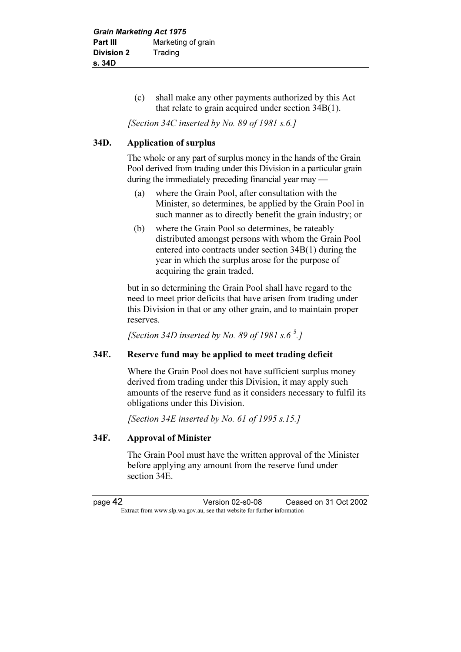(c) shall make any other payments authorized by this Act that relate to grain acquired under section 34B(1).

[Section 34C inserted by No. 89 of 1981 s.6.]

#### 34D. Application of surplus

 The whole or any part of surplus money in the hands of the Grain Pool derived from trading under this Division in a particular grain during the immediately preceding financial year may —

- (a) where the Grain Pool, after consultation with the Minister, so determines, be applied by the Grain Pool in such manner as to directly benefit the grain industry; or
- (b) where the Grain Pool so determines, be rateably distributed amongst persons with whom the Grain Pool entered into contracts under section 34B(1) during the year in which the surplus arose for the purpose of acquiring the grain traded,

 but in so determining the Grain Pool shall have regard to the need to meet prior deficits that have arisen from trading under this Division in that or any other grain, and to maintain proper reserves.

[Section 34D inserted by No. 89 of 1981 s.6 $\degree$ .]

#### 34E. Reserve fund may be applied to meet trading deficit

 Where the Grain Pool does not have sufficient surplus money derived from trading under this Division, it may apply such amounts of the reserve fund as it considers necessary to fulfil its obligations under this Division.

[Section 34E inserted by No. 61 of 1995 s.15.]

#### 34F. Approval of Minister

 The Grain Pool must have the written approval of the Minister before applying any amount from the reserve fund under section 34E.

page 42 Version 02-s0-08 Ceased on 31 Oct 2002 Extract from www.slp.wa.gov.au, see that website for further information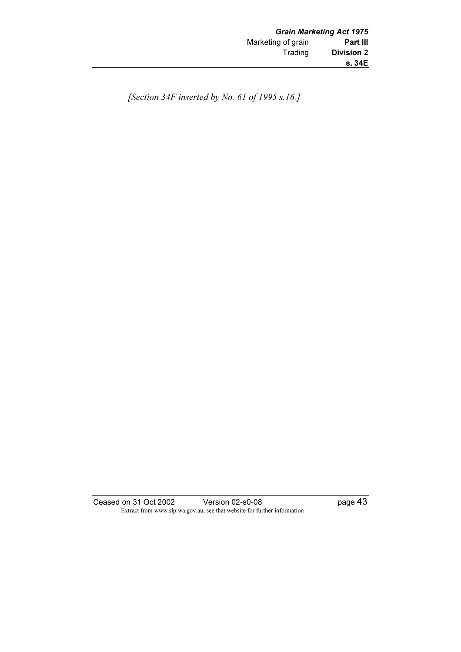[Section 34F inserted by No. 61 of 1995 s.16.]

Ceased on 31 Oct 2002 Version 02-s0-08 page 43 Extract from www.slp.wa.gov.au, see that website for further information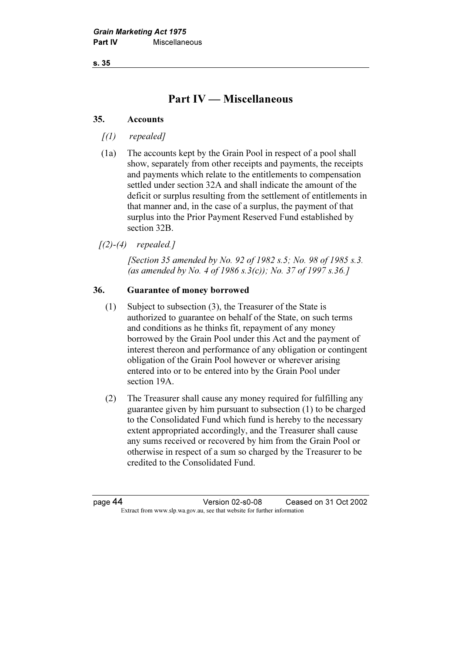s. 35

## Part IV — Miscellaneous

#### 35. Accounts

- $(1)$  repealed]
- (1a) The accounts kept by the Grain Pool in respect of a pool shall show, separately from other receipts and payments, the receipts and payments which relate to the entitlements to compensation settled under section 32A and shall indicate the amount of the deficit or surplus resulting from the settlement of entitlements in that manner and, in the case of a surplus, the payment of that surplus into the Prior Payment Reserved Fund established by section 32B.

 $(2)-(4)$  repealed.]

[Section 35 amended by No. 92 of 1982 s.5; No. 98 of 1985 s.3.] (as amended by No. 4 of 1986 s.  $3(c)$ ); No.  $37$  of 1997 s.  $36.$ ]

#### 36. Guarantee of money borrowed

- (1) Subject to subsection (3), the Treasurer of the State is authorized to guarantee on behalf of the State, on such terms and conditions as he thinks fit, repayment of any money borrowed by the Grain Pool under this Act and the payment of interest thereon and performance of any obligation or contingent obligation of the Grain Pool however or wherever arising entered into or to be entered into by the Grain Pool under section 19A.
- (2) The Treasurer shall cause any money required for fulfilling any guarantee given by him pursuant to subsection (1) to be charged to the Consolidated Fund which fund is hereby to the necessary extent appropriated accordingly, and the Treasurer shall cause any sums received or recovered by him from the Grain Pool or otherwise in respect of a sum so charged by the Treasurer to be credited to the Consolidated Fund.

page 44 Version 02-s0-08 Ceased on 31 Oct 2002 Extract from www.slp.wa.gov.au, see that website for further information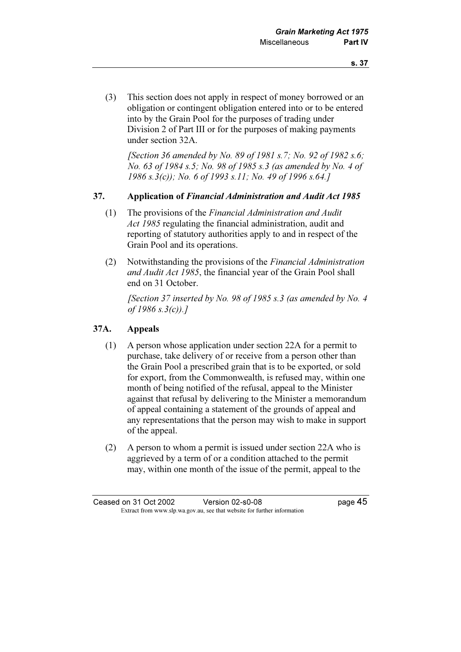(3) This section does not apply in respect of money borrowed or an obligation or contingent obligation entered into or to be entered into by the Grain Pool for the purposes of trading under Division 2 of Part III or for the purposes of making payments under section 32A.

[Section 36 amended by No. 89 of 1981 s.7; No. 92 of 1982 s.6; No. 63 of 1984 s.5; No. 98 of 1985 s.3 (as amended by No. 4 of 1986 s.3(c)); No. 6 of 1993 s.11; No. 49 of 1996 s.64.]

#### 37. Application of Financial Administration and Audit Act 1985

- (1) The provisions of the Financial Administration and Audit Act 1985 regulating the financial administration, audit and reporting of statutory authorities apply to and in respect of the Grain Pool and its operations.
- (2) Notwithstanding the provisions of the Financial Administration and Audit Act 1985, the financial year of the Grain Pool shall end on 31 October.

 [Section 37 inserted by No. 98 of 1985 s.3 (as amended by No. 4 of  $1986 s.3(c)$ .]

## 37A. Appeals

- (1) A person whose application under section 22A for a permit to purchase, take delivery of or receive from a person other than the Grain Pool a prescribed grain that is to be exported, or sold for export, from the Commonwealth, is refused may, within one month of being notified of the refusal, appeal to the Minister against that refusal by delivering to the Minister a memorandum of appeal containing a statement of the grounds of appeal and any representations that the person may wish to make in support of the appeal.
- (2) A person to whom a permit is issued under section 22A who is aggrieved by a term of or a condition attached to the permit may, within one month of the issue of the permit, appeal to the

Ceased on 31 Oct 2002 Version 02-s0-08 page 45 Extract from www.slp.wa.gov.au, see that website for further information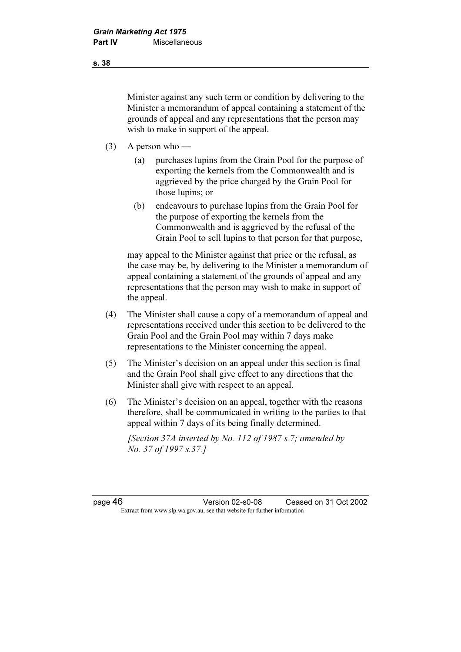Minister against any such term or condition by delivering to the Minister a memorandum of appeal containing a statement of the grounds of appeal and any representations that the person may wish to make in support of the appeal.

- (3) A person who
	- (a) purchases lupins from the Grain Pool for the purpose of exporting the kernels from the Commonwealth and is aggrieved by the price charged by the Grain Pool for those lupins; or
	- (b) endeavours to purchase lupins from the Grain Pool for the purpose of exporting the kernels from the Commonwealth and is aggrieved by the refusal of the Grain Pool to sell lupins to that person for that purpose,

 may appeal to the Minister against that price or the refusal, as the case may be, by delivering to the Minister a memorandum of appeal containing a statement of the grounds of appeal and any representations that the person may wish to make in support of the appeal.

- (4) The Minister shall cause a copy of a memorandum of appeal and representations received under this section to be delivered to the Grain Pool and the Grain Pool may within 7 days make representations to the Minister concerning the appeal.
- (5) The Minister's decision on an appeal under this section is final and the Grain Pool shall give effect to any directions that the Minister shall give with respect to an appeal.
- (6) The Minister's decision on an appeal, together with the reasons therefore, shall be communicated in writing to the parties to that appeal within 7 days of its being finally determined.

[Section 37A inserted by No. 112 of 1987 s.7; amended by No. 37 of 1997 s.37.]

page 46 Version 02-s0-08 Ceased on 31 Oct 2002 Extract from www.slp.wa.gov.au, see that website for further information

s. 38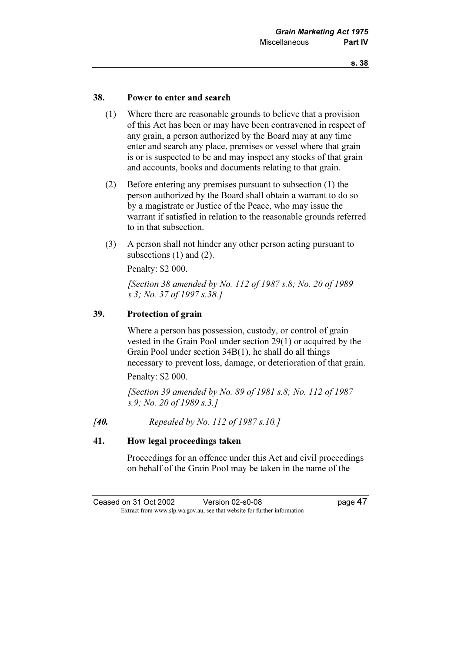#### 38. Power to enter and search

- (1) Where there are reasonable grounds to believe that a provision of this Act has been or may have been contravened in respect of any grain, a person authorized by the Board may at any time enter and search any place, premises or vessel where that grain is or is suspected to be and may inspect any stocks of that grain and accounts, books and documents relating to that grain.
- (2) Before entering any premises pursuant to subsection (1) the person authorized by the Board shall obtain a warrant to do so by a magistrate or Justice of the Peace, who may issue the warrant if satisfied in relation to the reasonable grounds referred to in that subsection.
- (3) A person shall not hinder any other person acting pursuant to subsections (1) and (2).

Penalty: \$2 000.

 [Section 38 amended by No. 112 of 1987 s.8; No. 20 of 1989 s.3; No. 37 of 1997 s.38.]

## 39. Protection of grain

 Where a person has possession, custody, or control of grain vested in the Grain Pool under section 29(1) or acquired by the Grain Pool under section 34B(1), he shall do all things necessary to prevent loss, damage, or deterioration of that grain.

Penalty: \$2 000.

[Section 39 amended by No. 89 of 1981 s.8; No. 112 of 1987] s.9; No. 20 of 1989 s.3.]

[40. Repealed by No. 112 of 1987 s.10.]

#### 41. How legal proceedings taken

 Proceedings for an offence under this Act and civil proceedings on behalf of the Grain Pool may be taken in the name of the

Ceased on 31 Oct 2002 Version 02-s0-08 page 47 Extract from www.slp.wa.gov.au, see that website for further information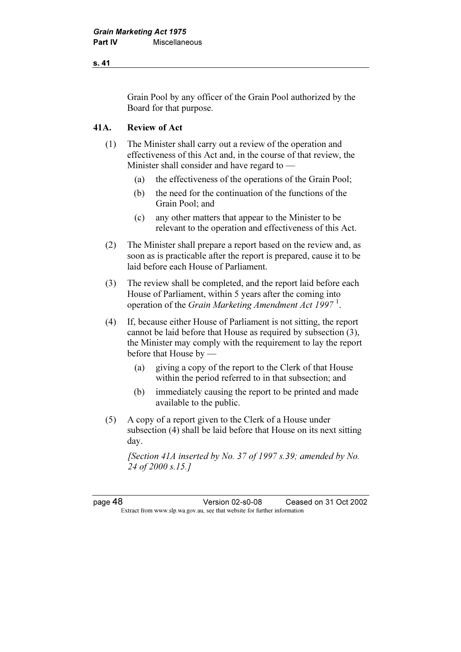#### s. 41

Grain Pool by any officer of the Grain Pool authorized by the Board for that purpose.

## 41A. Review of Act

- (1) The Minister shall carry out a review of the operation and effectiveness of this Act and, in the course of that review, the Minister shall consider and have regard to —
	- (a) the effectiveness of the operations of the Grain Pool;
	- (b) the need for the continuation of the functions of the Grain Pool; and
	- (c) any other matters that appear to the Minister to be relevant to the operation and effectiveness of this Act.
- (2) The Minister shall prepare a report based on the review and, as soon as is practicable after the report is prepared, cause it to be laid before each House of Parliament.
- (3) The review shall be completed, and the report laid before each House of Parliament, within 5 years after the coming into operation of the *Grain Marketing Amendment Act 1997*<sup>1</sup>.
- (4) If, because either House of Parliament is not sitting, the report cannot be laid before that House as required by subsection (3), the Minister may comply with the requirement to lay the report before that House by —
	- (a) giving a copy of the report to the Clerk of that House within the period referred to in that subsection; and
	- (b) immediately causing the report to be printed and made available to the public.
- (5) A copy of a report given to the Clerk of a House under subsection (4) shall be laid before that House on its next sitting day.

[Section 41A inserted by No. 37 of 1997 s.39; amended by No. 24 of 2000 s.15.1

page 48 Version 02-s0-08 Ceased on 31 Oct 2002 Extract from www.slp.wa.gov.au, see that website for further information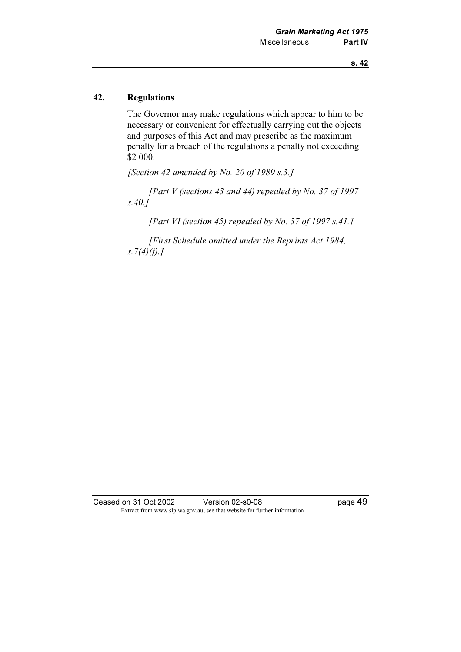## 42. Regulations

 The Governor may make regulations which appear to him to be necessary or convenient for effectually carrying out the objects and purposes of this Act and may prescribe as the maximum penalty for a breach of the regulations a penalty not exceeding \$2 000.

[Section 42 amended by No. 20 of 1989 s.3.]

[Part V (sections 43 and 44) repealed by No. 37 of 1997  $s.40.\overline{I}$ 

[Part VI (section 45) repealed by No. 37 of 1997 s.41.]

 [First Schedule omitted under the Reprints Act 1984, s.  $7(4)(f)$ .]

Ceased on 31 Oct 2002 Version 02-s0-08 page 49 Extract from www.slp.wa.gov.au, see that website for further information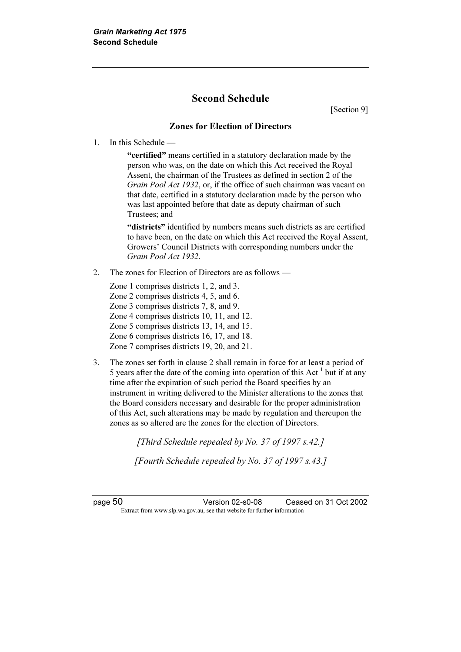## Second Schedule

[Section 9]

#### Zones for Election of Directors

1. In this Schedule —

 "certified" means certified in a statutory declaration made by the person who was, on the date on which this Act received the Royal Assent, the chairman of the Trustees as defined in section 2 of the Grain Pool Act 1932, or, if the office of such chairman was vacant on that date, certified in a statutory declaration made by the person who was last appointed before that date as deputy chairman of such Trustees; and

"districts" identified by numbers means such districts as are certified to have been, on the date on which this Act received the Royal Assent, Growers' Council Districts with corresponding numbers under the Grain Pool Act 1932.

2. The zones for Election of Directors are as follows —

Zone 1 comprises districts 1, 2, and 3. Zone 2 comprises districts 4, 5, and 6. Zone 3 comprises districts 7, 8, and 9. Zone 4 comprises districts 10, 11, and 12. Zone 5 comprises districts 13, 14, and 15. Zone 6 comprises districts 16, 17, and 18. Zone 7 comprises districts 19, 20, and 21.

3. The zones set forth in clause 2 shall remain in force for at least a period of 5 years after the date of the coming into operation of this Act<sup>1</sup> but if at any time after the expiration of such period the Board specifies by an instrument in writing delivered to the Minister alterations to the zones that the Board considers necessary and desirable for the proper administration of this Act, such alterations may be made by regulation and thereupon the zones as so altered are the zones for the election of Directors.

[Third Schedule repealed by No. 37 of 1997 s.42.]

[Fourth Schedule repealed by No. 37 of 1997 s.43.]

page 50 Version 02-s0-08 Ceased on 31 Oct 2002 Extract from www.slp.wa.gov.au, see that website for further information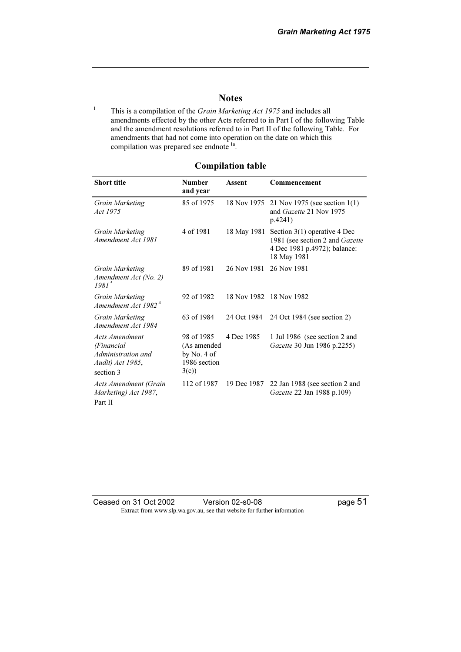#### **Notes**

<sup>1</sup> This is a compilation of the *Grain Marketing Act 1975* and includes all amendments effected by the other Acts referred to in Part I of the following Table and the amendment resolutions referred to in Part II of the following Table. For amendments that had not come into operation on the date on which this compilation was prepared see endnote<sup>1a</sup>.

#### Compilation table

| <b>Short title</b>                                                                         | <b>Number</b><br>and year                                          | Assent      | Commencement                                                                                                     |
|--------------------------------------------------------------------------------------------|--------------------------------------------------------------------|-------------|------------------------------------------------------------------------------------------------------------------|
| <b>Grain Marketing</b><br>Act 1975                                                         | 85 of 1975                                                         | 18 Nov 1975 | 21 Nov 1975 (see section $1(1)$ )<br>and <i>Gazette</i> 21 Nov 1975<br>p.4241)                                   |
| <b>Grain Marketing</b><br>Amendment Act 1981                                               | 4 of 1981                                                          | 18 May 1981 | Section $3(1)$ operative 4 Dec<br>1981 (see section 2 and Gazette<br>4 Dec 1981 p.4972); balance:<br>18 May 1981 |
| <b>Grain Marketing</b><br>Amendment Act (No. 2)<br>$1981^5$                                | 89 of 1981                                                         | 26 Nov 1981 | 26 Nov 1981                                                                                                      |
| <b>Grain Marketing</b><br>Amendment Act 1982 <sup>4</sup>                                  | 92 of 1982                                                         |             | 18 Nov 1982 18 Nov 1982                                                                                          |
| Grain Marketing<br>Amendment Act 1984                                                      | 63 of 1984                                                         | 24 Oct 1984 | 24 Oct 1984 (see section 2)                                                                                      |
| <b>Acts Amendment</b><br>(Financial<br>Administration and<br>Audit) Act 1985,<br>section 3 | 98 of 1985<br>(As amended<br>by No. $4$ of<br>1986 section<br>3(c) | 4 Dec 1985  | 1 Jul 1986 (see section 2 and<br>Gazette 30 Jun 1986 p.2255)                                                     |
| Acts Amendment (Grain<br>Marketing) Act 1987,<br>Part II                                   | 112 of 1987                                                        | 19 Dec 1987 | 22 Jan 1988 (see section 2 and<br>Gazette 22 Jan 1988 p.109)                                                     |

Ceased on 31 Oct 2002 Version 02-s0-08 page 51 Extract from www.slp.wa.gov.au, see that website for further information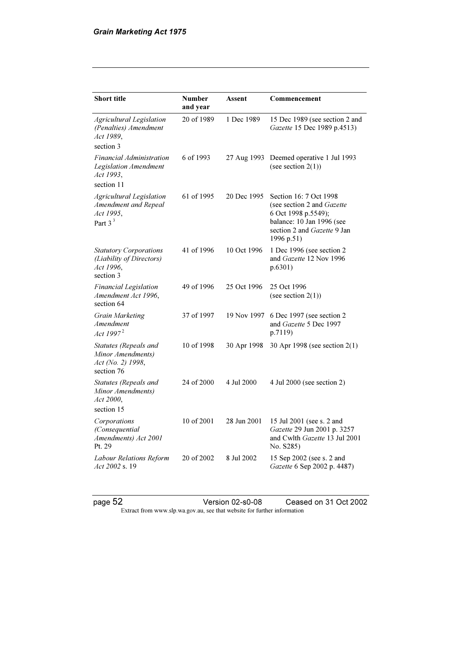| <b>Short title</b>                                                                        | <b>Number</b><br>and year | Assent      | Commencement                                                                                                                                                        |
|-------------------------------------------------------------------------------------------|---------------------------|-------------|---------------------------------------------------------------------------------------------------------------------------------------------------------------------|
| <b>Agricultural Legislation</b><br>(Penalties) Amendment<br>Act 1989,<br>section 3        | 20 of 1989                | 1 Dec 1989  | 15 Dec 1989 (see section 2 and<br>Gazette 15 Dec 1989 p.4513)                                                                                                       |
| Financial Administration<br><b>Legislation Amendment</b><br>Act 1993,                     | 6 of 1993                 | 27 Aug 1993 | Deemed operative 1 Jul 1993<br>(see section $2(1)$ )                                                                                                                |
| section 11<br>Agricultural Legislation<br>Amendment and Repeal<br>Act 1995,<br>Part $3^3$ | 61 of 1995                | 20 Dec 1995 | Section 16: 7 Oct 1998<br>(see section 2 and <i>Gazette</i><br>6 Oct 1998 p.5549);<br>balance: 10 Jan 1996 (see<br>section 2 and <i>Gazette</i> 9 Jan<br>1996 p.51) |
| <b>Statutory Corporations</b><br>(Liability of Directors)<br>Act 1996,<br>section 3       | 41 of 1996                | 10 Oct 1996 | 1 Dec 1996 (see section 2<br>and Gazette 12 Nov 1996<br>p.6301)                                                                                                     |
| <b>Financial Legislation</b><br>Amendment Act 1996,<br>section 64                         | 49 of 1996                | 25 Oct 1996 | 25 Oct 1996<br>(see section $2(1)$ )                                                                                                                                |
| Grain Marketing<br>Amendment<br>Act $1997^2$                                              | 37 of 1997                | 19 Nov 1997 | 6 Dec 1997 (see section 2<br>and Gazette 5 Dec 1997<br>p.7119)                                                                                                      |
| Statutes (Repeals and<br>Minor Amendments)<br>Act (No. 2) 1998,<br>section 76             | 10 of 1998                | 30 Apr 1998 | 30 Apr 1998 (see section 2(1)                                                                                                                                       |
| Statutes (Repeals and<br>Minor Amendments)<br>Act 2000,<br>section 15                     | 24 of 2000                | 4 Jul 2000  | 4 Jul 2000 (see section 2)                                                                                                                                          |
| Corporations<br>(Consequential<br>Amendments) Act 2001<br>Pt. 29                          | 10 of 2001                | 28 Jun 2001 | 15 Jul 2001 (see s. 2 and<br>Gazette 29 Jun 2001 p. 3257<br>and Cwlth Gazette 13 Jul 2001<br>No. S285)                                                              |
| Labour Relations Reform<br>Act 2002 s. 19                                                 | 20 of 2002                | 8 Jul 2002  | 15 Sep 2002 (see s. 2 and<br>Gazette 6 Sep 2002 p. 4487)                                                                                                            |

page 52 **Version 02-s0-08** Ceased on 31 Oct 2002 Extract from www.slp.wa.gov.au, see that website for further information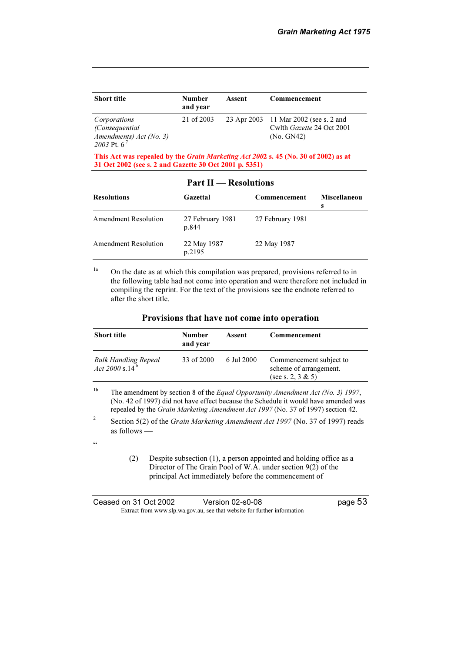| <b>Short title</b>                         | Number<br>and year | Assent | Commencement                            |
|--------------------------------------------|--------------------|--------|-----------------------------------------|
| Corporations                               | 21 of 2003         |        | 23 Apr 2003 11 Mar 2002 (see s. 2 and   |
| (Consequential)<br>Amendments) Act (No. 3) |                    |        | Cwlth Gazette 24 Oct 2001<br>(No. GN42) |
| 2003 Pt. $6^7$                             |                    |        |                                         |

This Act was repealed by the Grain Marketing Act 2002 s. 45 (No. 30 of 2002) as at 31 Oct 2002 (see s. 2 and Gazette 30 Oct 2001 p. 5351)

| <b>Part II</b> — Resolutions |                           |                  |                          |  |
|------------------------------|---------------------------|------------------|--------------------------|--|
| <b>Resolutions</b>           | Gazettal                  | Commencement     | <b>Miscellaneou</b><br>S |  |
| Amendment Resolution         | 27 February 1981<br>p.844 | 27 February 1981 |                          |  |
| Amendment Resolution         | 22 May 1987<br>p.2195     | 22 May 1987      |                          |  |

<sup>1a</sup> On the date as at which this compilation was prepared, provisions referred to in the following table had not come into operation and were therefore not included in compiling the reprint. For the text of the provisions see the endnote referred to after the short title.

| <b>Short title</b>                                 | Number<br>and year | Assent     | Commencement                                                           |
|----------------------------------------------------|--------------------|------------|------------------------------------------------------------------------|
| Bulk Handling Repeal<br>Act 2000 s.14 <sup>6</sup> | 33 of 2000         | 6 Jul 2000 | Commencement subject to<br>scheme of arrangement.<br>(see s. 2, 3 & 5) |

<sup>1b</sup> The amendment by section 8 of the *Equal Opportunity Amendment Act* (No. 3) 1997, (No. 42 of 1997) did not have effect because the Schedule it would have amended was repealed by the Grain Marketing Amendment Act 1997 (No. 37 of 1997) section 42.

2 Section 5(2) of the *Grain Marketing Amendment Act 1997* (No. 37 of 1997) reads as follows —

 $\zeta\zeta$ 

 (2) Despite subsection (1), a person appointed and holding office as a Director of The Grain Pool of W.A. under section 9(2) of the principal Act immediately before the commencement of

| Ceased on 31 Oct 2002 | Version 02-s0-08                                                         | page 53 |
|-----------------------|--------------------------------------------------------------------------|---------|
|                       | Extract from www.slp.wa.gov.au, see that website for further information |         |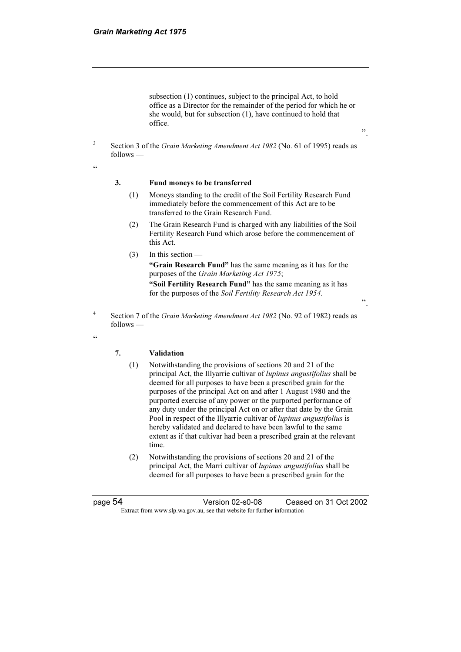subsection (1) continues, subject to the principal Act, to hold office as a Director for the remainder of the period for which he or she would, but for subsection (1), have continued to hold that office.

".

".

 Section 3 of the Grain Marketing Amendment Act 1982 (No. 61 of 1995) reads as follows —

 $\epsilon$ 

3

#### 3. Fund moneys to be transferred

- (1) Moneys standing to the credit of the Soil Fertility Research Fund immediately before the commencement of this Act are to be transferred to the Grain Research Fund.
- (2) The Grain Research Fund is charged with any liabilities of the Soil Fertility Research Fund which arose before the commencement of this Act.
- (3) In this section —

 "Grain Research Fund" has the same meaning as it has for the purposes of the Grain Marketing Act 1975;

 "Soil Fertility Research Fund" has the same meaning as it has for the purposes of the Soil Fertility Research Act 1954.

- 4 Section 7 of the Grain Marketing Amendment Act 1982 (No. 92 of 1982) reads as follows —
- "

#### 7. Validation

- (1) Notwithstanding the provisions of sections 20 and 21 of the principal Act, the Illyarrie cultivar of lupinus angustifolius shall be deemed for all purposes to have been a prescribed grain for the purposes of the principal Act on and after 1 August 1980 and the purported exercise of any power or the purported performance of any duty under the principal Act on or after that date by the Grain Pool in respect of the Illyarrie cultivar of lupinus angustifolius is hereby validated and declared to have been lawful to the same extent as if that cultivar had been a prescribed grain at the relevant time.
- (2) Notwithstanding the provisions of sections 20 and 21 of the principal Act, the Marri cultivar of lupinus angustifolius shall be deemed for all purposes to have been a prescribed grain for the

page 54 Version 02-s0-08 Ceased on 31 Oct 2002 Extract from www.slp.wa.gov.au, see that website for further information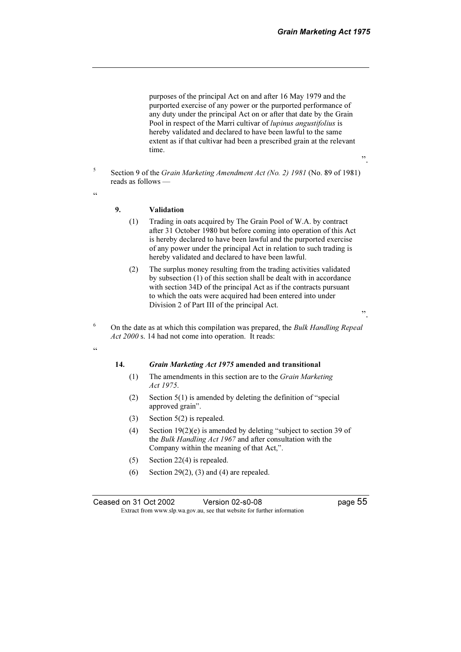purposes of the principal Act on and after 16 May 1979 and the purported exercise of any power or the purported performance of any duty under the principal Act on or after that date by the Grain Pool in respect of the Marri cultivar of lupinus angustifolius is hereby validated and declared to have been lawful to the same extent as if that cultivar had been a prescribed grain at the relevant time.

- 5 Section 9 of the Grain Marketing Amendment Act (No. 2) 1981 (No. 89 of 1981) reads as follows —
- "

#### 9. Validation

- (1) Trading in oats acquired by The Grain Pool of W.A. by contract after 31 October 1980 but before coming into operation of this Act is hereby declared to have been lawful and the purported exercise of any power under the principal Act in relation to such trading is hereby validated and declared to have been lawful.
- (2) The surplus money resulting from the trading activities validated by subsection (1) of this section shall be dealt with in accordance with section 34D of the principal Act as if the contracts pursuant to which the oats were acquired had been entered into under Division 2 of Part III of the principal Act.
- ".

".

 On the date as at which this compilation was prepared, the Bulk Handling Repeal Act 2000 s. 14 had not come into operation. It reads:

#### $\zeta \zeta$

6

# 14. Grain Marketing Act 1975 amended and transitional<br>(1) The amendments in this section are to the Grain Marke

- The amendments in this section are to the Grain Marketing Act 1975.
- (2) Section 5(1) is amended by deleting the definition of "special approved grain".
- (3) Section 5(2) is repealed.
- (4) Section 19(2)(e) is amended by deleting "subject to section 39 of the Bulk Handling Act 1967 and after consultation with the Company within the meaning of that Act,".
- (5) Section 22(4) is repealed.
- (6) Section 29(2), (3) and (4) are repealed.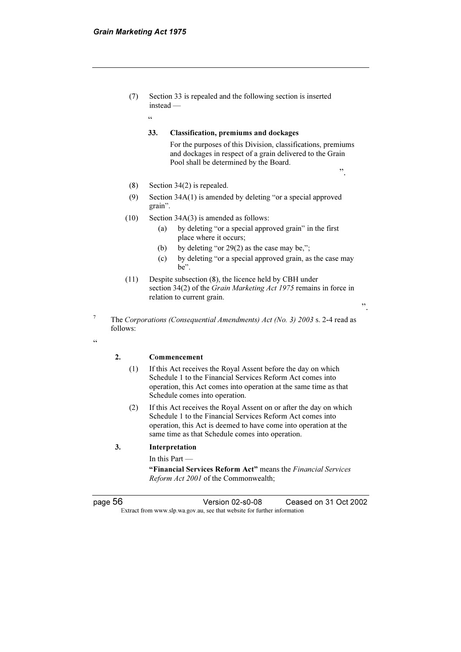$\zeta \zeta$ 

 (7) Section 33 is repealed and the following section is inserted instead —

#### 33. Classification, premiums and dockages

For the purposes of this Division, classifications, premiums and dockages in respect of a grain delivered to the Grain Pool shall be determined by the Board.

- (8) Section 34(2) is repealed.
- (9) Section 34A(1) is amended by deleting "or a special approved grain".
- (10) Section 34A(3) is amended as follows:
	- (a) by deleting "or a special approved grain" in the first place where it occurs;
	- (b) by deleting "or  $29(2)$  as the case may be,";
	- (c) by deleting "or a special approved grain, as the case may be".
- (11) Despite subsection (8), the licence held by CBH under section 34(2) of the Grain Marketing Act 1975 remains in force in relation to current grain.

".

".

 The Corporations (Consequential Amendments) Act (No. 3) 2003 s. 2-4 read as follows:

"

7

#### 2. Commencement

- (1) If this Act receives the Royal Assent before the day on which Schedule 1 to the Financial Services Reform Act comes into operation, this Act comes into operation at the same time as that Schedule comes into operation.
- (2) If this Act receives the Royal Assent on or after the day on which Schedule 1 to the Financial Services Reform Act comes into operation, this Act is deemed to have come into operation at the same time as that Schedule comes into operation.

#### 3. Interpretation

In this Part —

"Financial Services Reform Act" means the Financial Services Reform Act 2001 of the Commonwealth;

page 56 Version 02-s0-08 Ceased on 31 Oct 2002 Extract from www.slp.wa.gov.au, see that website for further information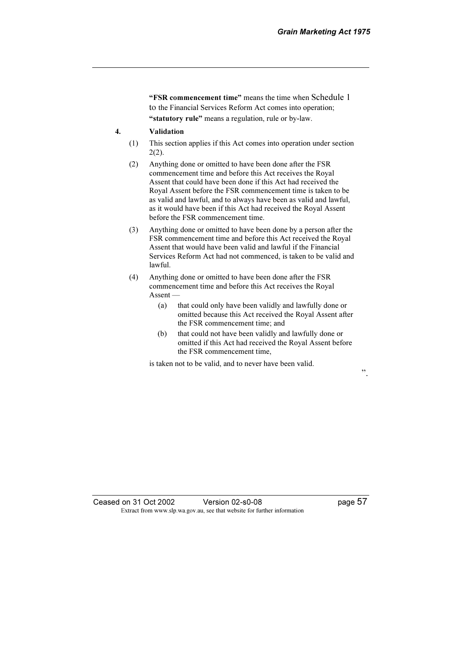"FSR commencement time" means the time when Schedule 1 to the Financial Services Reform Act comes into operation; "statutory rule" means a regulation, rule or by-law.

#### 4. Validation

- (1) This section applies if this Act comes into operation under section 2(2).
- (2) Anything done or omitted to have been done after the FSR commencement time and before this Act receives the Royal Assent that could have been done if this Act had received the Royal Assent before the FSR commencement time is taken to be as valid and lawful, and to always have been as valid and lawful, as it would have been if this Act had received the Royal Assent before the FSR commencement time.
- (3) Anything done or omitted to have been done by a person after the FSR commencement time and before this Act received the Royal Assent that would have been valid and lawful if the Financial Services Reform Act had not commenced, is taken to be valid and lawful.
- (4) Anything done or omitted to have been done after the FSR commencement time and before this Act receives the Royal Assent —
	- (a) that could only have been validly and lawfully done or omitted because this Act received the Royal Assent after the FSR commencement time; and
	- (b) that could not have been validly and lawfully done or omitted if this Act had received the Royal Assent before the FSR commencement time,

is taken not to be valid, and to never have been valid.

".

Ceased on 31 Oct 2002 Version 02-s0-08 page 57 Extract from www.slp.wa.gov.au, see that website for further information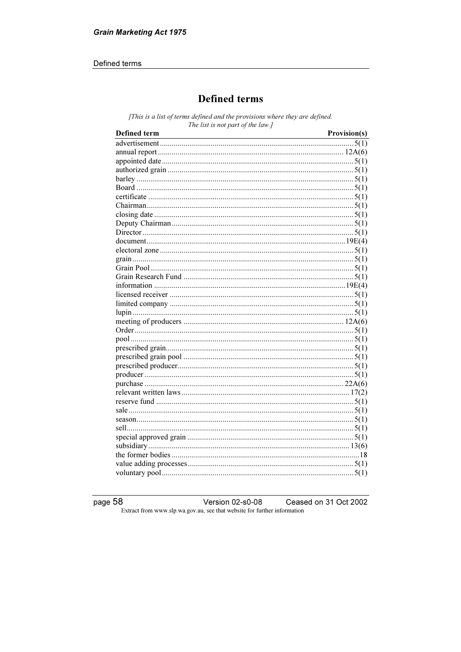#### Defined terms

## **Defined terms**

[This is a list of terms defined and the provisions where they are defined. The list is not part of the law.]

| Defined term | Provision(s) |
|--------------|--------------|
|              |              |
|              |              |
|              |              |
|              |              |
|              |              |
|              |              |
|              |              |
|              |              |
|              |              |
|              |              |
|              |              |
|              |              |
|              |              |
|              |              |
|              |              |
|              |              |
|              |              |
|              |              |
|              |              |
|              |              |
|              |              |
|              |              |
|              |              |
|              |              |
|              |              |
|              |              |
|              |              |
|              |              |
|              |              |
|              |              |
|              |              |
|              |              |
|              |              |
|              |              |
|              |              |
|              |              |
|              |              |
|              |              |

page  $58$ Version 02-s0-08 Ceased on 31 Oct 2002 Extract from www.slp.wa.gov.au, see that website for further information